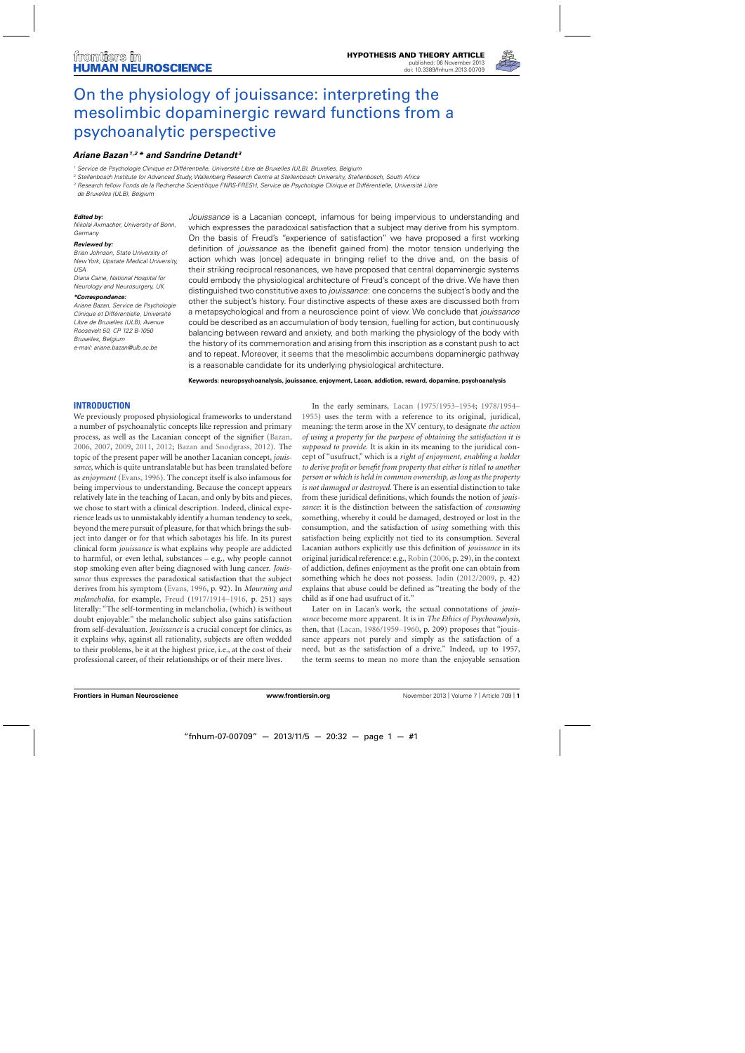

# On the physiology of jouissance: interpreting the [mesolimbic dopaminergic reward functions from a](http://www.frontiersin.org/journal/10.3389/fnhum.2013.00709/abstract) psychoanalytic perspective

# *[Ariane Bazan](http://www.frontiersin.org/people/u/23420)1,2 \* and [Sandrine Detandt](http://community.frontiersin.org/people/SandrineDetandt/112743) <sup>3</sup>*

<sup>1</sup> Service de Psychologie Clinique et Différentielle, Université Libre de Bruxelles (ULB), Bruxelles, Belgium

<sup>2</sup> Stellenbosch Institute for Advanced Study, Wallenberg Research Centre at Stellenbosch University, Stellenbosch, South Africa

<sup>3</sup> Research fellow Fonds de la Recherche Scientifique FNRS-FRESH, Service de Psychologie Clinique et Différentielle, Université Libre

de Bruxelles (ULB), Belgium

#### *Edited by:*

Nikolai Axmacher, University of Bonn, Germany

#### *Reviewed by:*

Brian Johnson, State University of New York, Upstate Medical University, USA Diana Caine, National Hospital for Neurology and Neurosurgery, UK

#### *\*Correspondence:*

Ariane Bazan, Service de Psychologie Clinique et Différentielle, Université Libre de Bruxelles (ULB), Avenue Roosevelt 50, CP 122 B-1050 Bruxelles, Belgium e-mail: [ariane.bazan@ulb.ac.be](mailto:ariane.bazan@ulb.ac.be)

Jouissance is a Lacanian concept, infamous for being impervious to understanding and which expresses the paradoxical satisfaction that a subject may derive from his symptom. On the basis of Freud's "experience of satisfaction" we have proposed a first working definition of jouissance as the (benefit gained from) the motor tension underlying the action which was [once] adequate in bringing relief to the drive and, on the basis of their striking reciprocal resonances, we have proposed that central dopaminergic systems could embody the physiological architecture of Freud's concept of the drive. We have then distinguished two constitutive axes to *jouissance*: one concerns the subject's body and the other the subject's history. Four distinctive aspects of these axes are discussed both from a metapsychological and from a neuroscience point of view. We conclude that jouissance could be described as an accumulation of body tension, fuelling for action, but continuously balancing between reward and anxiety, and both marking the physiology of the body with the history of its commemoration and arising from this inscription as a constant push to act and to repeat. Moreover, it seems that the mesolimbic accumbens dopaminergic pathway is a reasonable candidate for its underlying physiological architecture.

**Keywords: neuropsychoanalysis, jouissance, enjoyment, Lacan, addiction, reward, dopamine, psychoanalysis**

# **INTRODUCTION**

We previously proposed physiological frameworks to understand a number of psychoanalytic concepts like repression and primary process, as well as the Lacanian concept of the signifier [\(Bazan](#page-10-0), [2006,](#page-10-0) [2007,](#page-10-0) [2009](#page-10-0), [2011,](#page-10-0) [2012;](#page-10-0) [Bazan and Snodgrass, 2012\)](#page-10-0). The topic of the present paper will be another Lacanian concept, *jouissance*, which is quite untranslatable but has been translated before as *enjoyment* [\(Evans](#page-11-0), [1996](#page-11-0)). The concept itself is also infamous for being impervious to understanding. Because the concept appears relatively late in the teaching of Lacan, and only by bits and pieces, we chose to start with a clinical description. Indeed, clinical experience leads us to unmistakably identify a human tendency to seek, beyond the mere pursuit of pleasure, for that which brings the subject into danger or for that which sabotages his life. In its purest clinical form *jouissance* is what explains why people are addicted to harmful, or even lethal, substances – e.g., why people cannot stop smoking even after being diagnosed with lung cancer. *Jouissance* thus expresses the paradoxical satisfaction that the subject derives from his symptom [\(Evans](#page-11-0), [1996,](#page-11-0) p. 92). In *Mourning and melancholia*, for example, [Freud](#page-11-0) [\(1917/1914–1916,](#page-11-0) p. 251) says literally: "The self-tormenting in melancholia, (which) is without doubt enjoyable:" the melancholic subject also gains satisfaction from self-devaluation. *Jouissance* is a crucial concept for clinics, as it explains why, against all rationality, subjects are often wedded to their problems, be it at the highest price, i.e., at the cost of their professional career, of their relationships or of their mere lives.

I[n the early seminars,](#page-11-0) [Lacan](#page-11-0) [\(1975/1953–1954](#page-11-0); 1978/1954– 1955) uses the term with a reference to its original, juridical, meaning: the term arose in the XV century, to designate *the action of using a property for the purpose of obtaining the satisfaction it is supposed to provide*. It is akin in its meaning to the juridical concept of "usufruct," which is a *right of enjoyment, enabling a holder to derive profit or benefit from property that either is titled to another person or which is held in common ownership, as long as the property is not damaged or destroyed*. There is an essential distinction to take from these juridical definitions, which founds the notion of *jouissance*: it is the distinction between the satisfaction of *consuming* something, whereby it could be damaged, destroyed or lost in the consumption, and the satisfaction of *using* something with this satisfaction being explicitly not tied to its consumption. Several Lacanian authors explicitly use this definition of *jouissance* in its original juridical reference: e.g., [Robin](#page-11-0) [\(2006,](#page-11-0) p. 29), in the context of addiction, defines enjoyment as the profit one can obtain from something which he does not possess. [Jadin](#page-11-0) [\(2012/2009](#page-11-0), p. 42) explains that abuse could be defined as "treating the body of the child as if one had usufruct of it."

Later on in Lacan's work, the sexual connotations of *jouissance* become more apparent. It is in *The Ethics of Psychoanalysis*, then, that [\(Lacan](#page-11-0), [1986/1959–1960](#page-11-0), p. 209) proposes that "jouissance appears not purely and simply as the satisfaction of a need, but as the satisfaction of a drive." Indeed, up to 1957, the term seems to mean no more than the enjoyable sensation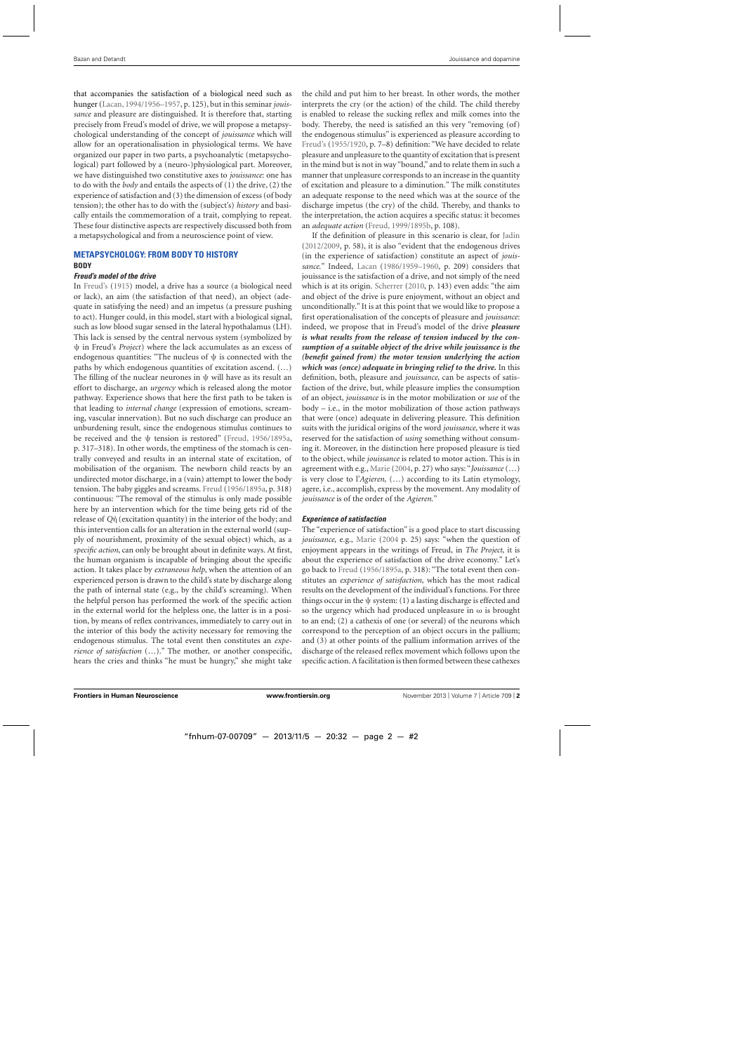that accompanies the satisfaction of a biological need such as hunger [\(Lacan](#page-11-0), [1994/1956–1957](#page-11-0), p. 125), but in this seminar*jouissance* and pleasure are distinguished. It is therefore that, starting precisely from Freud's model of drive, we will propose a metapsychological understanding of the concept of *jouissance* which will allow for an operationalisation in physiological terms. We have organized our paper in two parts, a psychoanalytic (metapsychological) part followed by a (neuro-)physiological part. Moreover, we have distinguished two constitutive axes to *jouissance*: one has to do with the *body* and entails the aspects of (1) the drive, (2) the experience of satisfaction and (3) the dimension of excess (of body tension); the other has to do with the (subject's) *history* and basically entails the commemoration of a trait, complying to repeat. These four distinctive aspects are respectively discussed both from a metapsychological and from a neuroscience point of view.

#### **METAPSYCHOLOGY: FROM BODY TO HISTORY BODY**

#### *Freud's model of the drive*

In [Freud'](#page-11-0)s [\(1915\)](#page-11-0) model, a drive has a source (a biological need or lack), an aim (the satisfaction of that need), an object (adequate in satisfying the need) and an impetus (a pressure pushing to act). Hunger could, in this model, start with a biological signal, such as low blood sugar sensed in the lateral hypothalamus (LH). This lack is sensed by the central nervous system (symbolized by ψ in Freud's *Project*) where the lack accumulates as an excess of endogenous quantities: "The nucleus of  $\psi$  is connected with the paths by which endogenous quantities of excitation ascend. (…) The filling of the nuclear neurones in  $\psi$  will have as its result an effort to discharge, an *urgency* which is released along the motor pathway. Experience shows that here the first path to be taken is that leading to *internal change* (expression of emotions, screaming, vascular innervation). But no such discharge can produce an unburdening result, since the endogenous stimulus continues to be received and the ψ tension is restored" [\(Freud](#page-11-0), [1956/1895a](#page-11-0), p. 317–318). In other words, the emptiness of the stomach is centrally conveyed and results in an internal state of excitation, of mobilisation of the organism. The newborn child reacts by an undirected motor discharge, in a (vain) attempt to lower the body tension. The baby giggles and screams. [Freud](#page-11-0) [\(1956/1895a](#page-11-0), p. 318) continuous: "The removal of the stimulus is only made possible here by an intervention which for the time being gets rid of the release of *Q*η` (excitation quantity) in the interior of the body; and this intervention calls for an alteration in the external world (supply of nourishment, proximity of the sexual object) which, as a *specific action*, can only be brought about in definite ways. At first, the human organism is incapable of bringing about the specific action. It takes place by *extraneous help*, when the attention of an experienced person is drawn to the child's state by discharge along the path of internal state (e.g., by the child's screaming). When the helpful person has performed the work of the specific action in the external world for the helpless one, the latter is in a position, by means of reflex contrivances, immediately to carry out in the interior of this body the activity necessary for removing the endogenous stimulus. The total event then constitutes an *experience of satisfaction* (…)." The mother, or another conspecific, hears the cries and thinks "he must be hungry," she might take the child and put him to her breast. In other words, the mother interprets the cry (or the action) of the child. The child thereby is enabled to release the sucking reflex and milk comes into the body. Thereby, the need is satisfied an this very "removing (of) the endogenous stimulus" is experienced as pleasure according to [Freud'](#page-11-0)s [\(1955/1920,](#page-11-0) p. 7–8) definition: "We have decided to relate pleasure and unpleasure to the quantity of excitation that is present in the mind but is not in way "bound," and to relate them in such a manner that unpleasure corresponds to an increase in the quantity of excitation and pleasure to a diminution." The milk constitutes an adequate response to the need which was at the source of the discharge impetus (the cry) of the child. Thereby, and thanks to the interpretation, the action acquires a specific status: it becomes an *adequate action* [\(Freud, 1999/1895b](#page-11-0), p. 108).

If the definition of pleasure in this scenario is clear, for [Jadin](#page-11-0) [\(2012/2009](#page-11-0), p. 58), it is also "evident that the endogenous drives (in the experience of satisfaction) constitute an aspect of *jouissance*." Indeed, [Lacan](#page-11-0) [\(1986/1959–1960,](#page-11-0) p. 209) considers that jouissance is the satisfaction of a drive, and not simply of the need which is at its origin. [Scherrer](#page-11-0) [\(2010,](#page-11-0) p. 143) even adds: "the aim and object of the drive is pure enjoyment, without an object and unconditionally." It is at this point that we would like to propose a first operationalisation of the concepts of pleasure and *jouissance*: indeed, we propose that in Freud's model of the drive *pleasure is what results from the release of tension induced by the consumption of a suitable object of the drive while jouissance is the (benefit gained from) the motor tension underlying the action which was (once) adequate in bringing relief to the drive.* In this definition, both, pleasure and *jouissance*, can be aspects of satisfaction of the drive, but, while pleasure implies the consumption of an object, *jouissance* is in the motor mobilization or *use* of the body – i.e., in the motor mobilization of those action pathways that were (once) adequate in delivering pleasure. This definition suits with the juridical origins of the word *jouissance*, where it was reserved for the satisfaction of *using* something without consuming it. Moreover, in the distinction here proposed pleasure is tied to the object, while *jouissance* is related to motor action. This is in agreement with e.g., [Marie](#page-11-0) [\(2004,](#page-11-0) p. 27) who says: "*Jouissance* (…) is very close to l'*Agieren*, (…) according to its Latin etymology, agere, i.e., accomplish, express by the movement. Any modality of *jouissance* is of the order of the *Agieren*."

# *Experience of satisfaction*

The "experience of satisfaction" is a good place to start discussing *jouissance*, e.g., [Marie](#page-11-0) [\(2004](#page-11-0) p. 25) says: "when the question of enjoyment appears in the writings of Freud, in *The Project*, it is about the experience of satisfaction of the drive economy." Let's go back to [Freud](#page-11-0) [\(1956/1895a,](#page-11-0) p. 318): "The total event then constitutes an *experience of satisfaction*, which has the most radical results on the development of the individual's functions. For three things occur in the  $\psi$  system: (1) a lasting discharge is effected and so the urgency which had produced unpleasure in  $\omega$  is brought to an end; (2) a cathexis of one (or several) of the neurons which correspond to the perception of an object occurs in the pallium; and (3) at other points of the pallium information arrives of the discharge of the released reflex movement which follows upon the specific action. A facilitation is then formed between these cathexes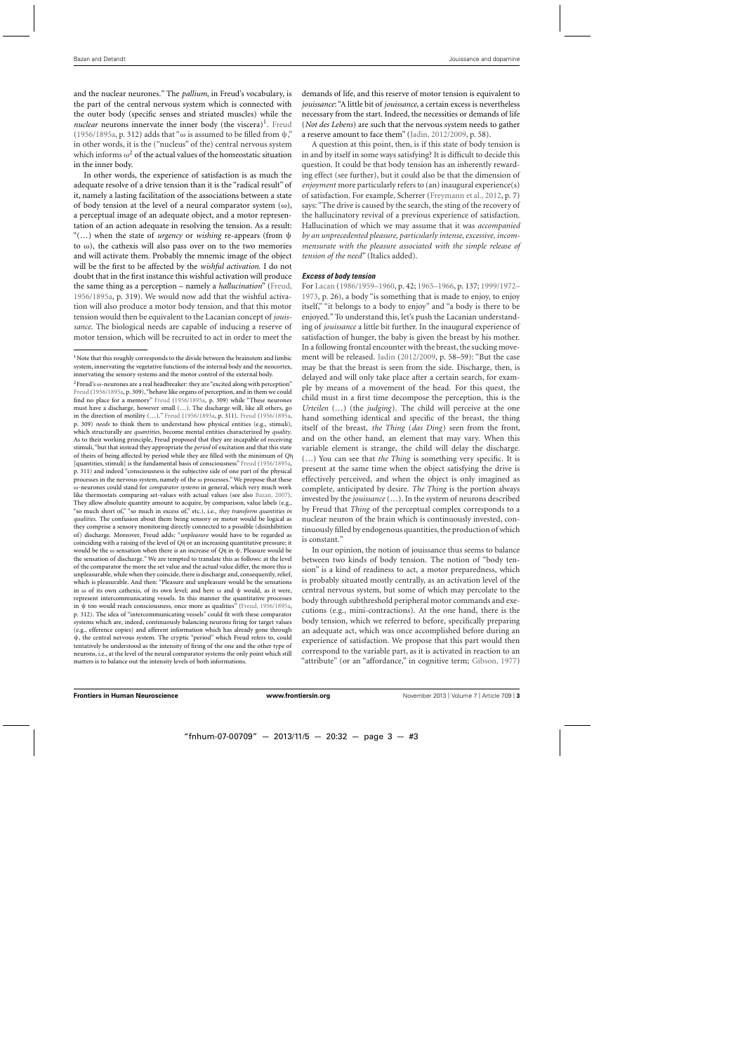and the nuclear neurones." The *pallium*, in Freud's vocabulary, is the part of the central nervous system which is connected with the outer body (specific senses and striated muscles) while the *nuclear* neurons innervate the inner body (the viscera)<sup>1</sup>. [Freud](#page-11-0) [\(1956/1895a](#page-11-0), p. 312) adds that " $\omega$  is assumed to be filled from  $\psi$ ," in other words, it is the ("nucleus" of the) central nervous system which informs  $\omega^2$  of the actual values of the homeostatic situation in the inner body.

In other words, the experience of satisfaction is as much the adequate resolve of a drive tension than it is the "radical result" of it, namely a lasting facilitation of the associations between a state of body tension at the level of a neural comparator system  $(\omega)$ , a perceptual image of an adequate object, and a motor representation of an action adequate in resolving the tension. As a result: "(…) when the state of *urgency* or *wishing* re-appears (from ψ to  $\omega$ ), the cathexis will also pass over on to the two memories and will activate them. Probably the mnemic image of the object will be the first to be affected by the *wishful activation.* I do not doubt that in the first instance this wishful activation will produce the same thing as a perception – namely a *hallucination*" [\(Freud](#page-11-0), [1956/1895a,](#page-11-0) p. 319). We would now add that the wishful activation will also produce a motor body tension, and that this motor tension would then be equivalent to the Lacanian concept of *jouissance*. The biological needs are capable of inducing a reserve of motor tension, which will be recruited to act in order to meet the demands of life, and this reserve of motor tension is equivalent to *jouissance*: "A little bit of *jouissance*, a certain excess is nevertheless necessary from the start. Indeed, the necessities or demands of life (*Not des Lebens*) are such that the nervous system needs to gather a reserve amount to face them" [\(Jadin, 2012/2009](#page-11-0), p. 58).

A question at this point, then, is if this state of body tension is in and by itself in some ways satisfying? It is difficult to decide this question. It could be that body tension has an inherently rewarding effect (see further), but it could also be that the dimension of *enjoyment* more particularly refers to (an) inaugural experience(s) of satisfaction. For example, Scherrer [\(Freymann et al., 2012,](#page-11-0) p. 7) says: "The drive is caused by the search, the sting of the recovery of the hallucinatory revival of a previous experience of satisfaction. Hallucination of which we may assume that it was *accompanied by an unprecedented pleasure, particularly intense, excessive, incommensurate with the pleasure associated with the simple release of tension of the need*" (Italics added).

# *Excess of body tension*

For [Lacan](#page-11-0) [\(1986/1959–1960, p. 42;](#page-11-0) [1965–1966](#page-11-0), p. 137; 1999/1972– 1973, p. 26), a body "is something that is made to enjoy, to enjoy itself," "it belongs to a body to enjoy" and "a body is there to be enjoyed." To understand this, let's push the Lacanian understanding of *jouissance* a little bit further. In the inaugural experience of satisfaction of hunger, the baby is given the breast by his mother. In a following frontal encounter with the breast, the sucking movement will be released. [Jadin](#page-11-0) [\(2012/2009](#page-11-0), p. 58–59): "But the case may be that the breast is seen from the side. Discharge, then, is delayed and will only take place after a certain search, for example by means of a movement of the head. For this quest, the child must in a first time decompose the perception, this is the *Urteilen* (…) (the *judging*). The child will perceive at the one hand something identical and specific of the breast, the thing itself of the breast, *the Thing* (*das Ding*) seen from the front, and on the other hand, an element that may vary. When this variable element is strange, the child will delay the discharge. (…) You can see that *the Thing* is something very specific. It is present at the same time when the object satisfying the drive is effectively perceived, and when the object is only imagined as complete, anticipated by desire. *The Thing* is the portion always invested by the *jouissance* (…). In the system of neurons described by Freud that *Thing* of the perceptual complex corresponds to a nuclear neuron of the brain which is continuously invested, continuously filled by endogenous quantities, the production of which is constant."

In our opinion, the notion of jouissance thus seems to balance between two kinds of body tension. The notion of "body tension" is a kind of readiness to act, a motor preparedness, which is probably situated mostly centrally, as an activation level of the central nervous system, but some of which may percolate to the body through subthreshold peripheral motor commands and executions (e.g., mini-contractions). At the one hand, there is the body tension, which we referred to before, specifically preparing an adequate act, which was once accomplished before during an experience of satisfaction. We propose that this part would then correspond to the variable part, as it is activated in reaction to an "attribute" (or an "affordance," in cognitive term; [Gibson](#page-11-0), [1977\)](#page-11-0)

<sup>&</sup>lt;sup>1</sup>Note that this roughly corresponds to the divide between the brainstem and limbic system, innervating the vegetative functions of the internal body and the neocortex, innervating the sensory systems and the motor control of the external body.

<sup>&</sup>lt;sup>2</sup> Freud's ω-neurones are a real headbreaker: they are "excited along with perception" [Freud](#page-11-0) [\(1956/1895a](#page-11-0), p. 309), "behave like organs of perception, and in them we could find no place for a memory" [Freud](#page-11-0) [\(1956/1895a,](#page-11-0) p. 309) while "These neurones must have a discharge, however small (…). The discharge will, like all others, go in the direction of motility (…)." [Freud](#page-11-0) [\(1956/1895a,](#page-11-0) p. 311). [Freud](#page-11-0) [\(1956/1895a,](#page-11-0) p. 309) *needs* to think them to understand how physical entities (e.g., stimuli), which structurally are *quantities*, become mental entities characterized by *quality*. As to their working principle, Freud proposed that they are incapable of receiving stimuli, "but that instead they appropriate the *period* of excitation and that this state of theirs of being affected by period while they are filled with the minimum of *Q*η` [quantities, stimuli] is the fundamental basis of consciousness" [Freud](#page-11-0) [\(1956/1895a,](#page-11-0) p. 311) and indeed "consciousness is the subjective side of one part of the physical processes in the nervous system, namely of the  $\omega$  processes." We propose that these ω-neurones could stand for *comparator systems* in general, which very much work like thermostats comparing set-values with actual values (see also [Bazan, 2007\)](#page-10-0). They allow absolute quantity amount to acquire, by comparison, value labels (e.g., "so much short of," "so much in excess of," etc.), i.e., *they transform quantities in qualities*. The confusion about them being sensory or motor would be logical as they comprise a sensory monitoring directly connected to a possible (disinhibition of) discharge. Moreover, Freud adds: "*unpleasure* would have to be regarded as coinciding with a raising of the level of *Q*η` or an increasing quantitative pressure; it would be the ω sensation when there is an increase of *Q*η` in ψ. Pleasure would be the sensation of discharge." We are tempted to translate this as follows: at the level of the comparator the more the set value and the actual value differ, the more this is unpleasurable, while when they coincide, there is discharge and, consequently, relief, which is pleasurable. And then: "Pleasure and unpleasure would be the sensations in ω of its own cathexis, of its own level; and here ω and ψ would, as it were, represent intercommunicating vessels. In this manner the quantitative processes in ψ too would reach consciousness, once more as qualities" [\(Freud](#page-11-0), [1956/1895a,](#page-11-0) p. 312). The idea of "intercommunicating vessels" could fit with these comparator systems which are, indeed, continuously balancing neurons firing for target values (e.g., efference copies) and afferent information which has already gone through ψ, the central nervous system. The cryptic "period" which Freud refers to, could tentatively be understood as the intensity of firing of the one and the other type of neurons, i.e., at the level of the neural comparator systems the only point which still matters is to balance out the intensity levels of both informations.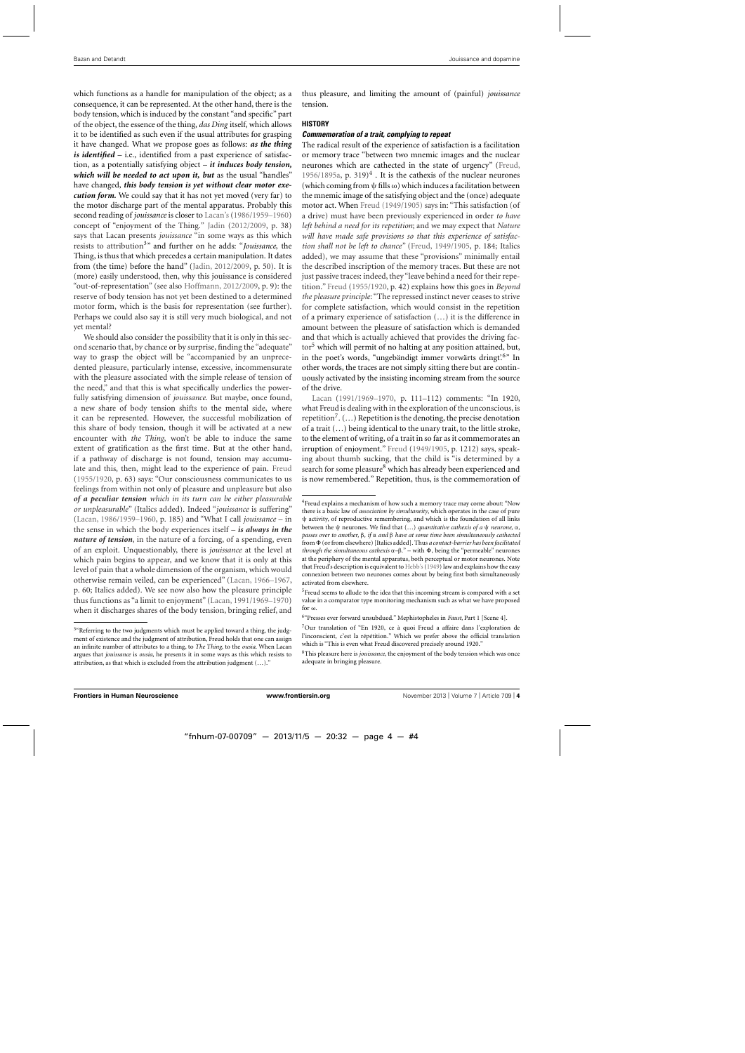which functions as a handle for manipulation of the object; as a consequence, it can be represented. At the other hand, there is the body tension, which is induced by the constant "and specific" part of the object, the essence of the thing, *das Ding* itself, which allows it to be identified as such even if the usual attributes for grasping it have changed. What we propose goes as follows: *as the thing is identified* – i.e., identified from a past experience of satisfaction, as a potentially satisfying object – *it induces body tension, which will be needed to act upon it, but* as the usual "handles" have changed, *this body tension is yet without clear motor execution form.* We could say that it has not yet moved (very far) to the motor discharge part of the mental apparatus. Probably this second reading of *jouissance* is closer to [Lacan'](#page-11-0)s [\(1986/1959–1960\)](#page-11-0) concept of "enjoyment of the Thing." [Jadin](#page-11-0) [\(2012/2009,](#page-11-0) p. 38) says that Lacan presents *jouissance* "in some ways as this which resists to attribution3" and further on he adds: "*Jouissance*, the Thing, is thus that which precedes a certain manipulation. It dates from (the time) before the hand" [\(Jadin, 2012/2009](#page-11-0), p. 50). It is (more) easily understood, then, why this jouissance is considered "out-of-representation" (see also [Hoffmann](#page-11-0), [2012/2009,](#page-11-0) p. 9): the reserve of body tension has not yet been destined to a determined motor form, which is the basis for representation (see further). Perhaps we could also say it is still very much biological, and not yet mental?

We should also consider the possibility that it is only in this second scenario that, by chance or by surprise, finding the "adequate" way to grasp the object will be "accompanied by an unprecedented pleasure, particularly intense, excessive, incommensurate with the pleasure associated with the simple release of tension of the need," and that this is what specifically underlies the powerfully satisfying dimension of *jouissance*. But maybe, once found, a new share of body tension shifts to the mental side, where it can be represented. However, the successful mobilization of this share of body tension, though it will be activated at a new encounter with *the Thing*, won't be able to induce the same extent of gratification as the first time. But at the other hand, if a pathway of discharge is not found, tension may accumulate and this, then, might lead to the experience of pain. [Freud](#page-11-0) [\(1955/1920](#page-11-0), p. 63) says: "Our consciousness communicates to us feelings from within not only of pleasure and unpleasure but also *of a peculiar tension which in its turn can be either pleasurable or unpleasurable*" (Italics added). Indeed "*jouissance* is suffering" [\(Lacan](#page-11-0), [1986/1959–1960](#page-11-0), p. 185) and "What I call *jouissance* – in the sense in which the body experiences itself – *is always in the nature of tension*, in the nature of a forcing, of a spending, even of an exploit. Unquestionably, there is *jouissance* at the level at which pain begins to appear, and we know that it is only at this level of pain that a whole dimension of the organism, which would otherwise remain veiled, can be experienced" [\(Lacan, 1966–1967](#page-11-0), p. 60; Italics added). We see now also how the pleasure principle thus functions as "a limit to enjoyment" [\(Lacan](#page-11-0), [1991/1969–1970\)](#page-11-0) when it discharges shares of the body tension, bringing relief, and

thus pleasure, and limiting the amount of (painful) *jouissance* tension.

#### **HISTORY**

#### *Commemoration of a trait, complying to repeat*

The radical result of the experience of satisfaction is a facilitation or memory trace "between two mnemic images and the nuclear neurones which are cathected in the state of urgency" [\(Freud](#page-11-0), [1956/1895a,](#page-11-0) p. 319 $)$ <sup>4</sup>. It is the cathexis of the nuclear neurones (which coming from  $\psi$  fills  $\omega$ ) which induces a facilitation between the mnemic image of the satisfying object and the (once) adequate motor act. When [Freud](#page-11-0) [\(1949/1905\)](#page-11-0) says in: "This satisfaction (of a drive) must have been previously experienced in order *to have left behind a need for its repetition*; and we may expect that *Nature will have made safe provisions so that this experience of satisfaction shall not be left to chance"* [\(Freud, 1949/1905](#page-11-0), p. 184; Italics added), we may assume that these "provisions" minimally entail the described inscription of the memory traces. But these are not just passive traces: indeed, they "leave behind a need for their repetition." [Freud](#page-11-0) [\(1955/1920](#page-11-0), p. 42) explains how this goes in *Beyond the pleasure principle*: "The repressed instinct never ceases to strive for complete satisfaction, which would consist in the repetition of a primary experience of satisfaction (…) it is the difference in amount between the pleasure of satisfaction which is demanded and that which is actually achieved that provides the driving factor<sup>5</sup> which will permit of no halting at any position attained, but, in the poet's words, "ungebändigt immer vorwärts dringt'.<sup>6"</sup> In other words, the traces are not simply sitting there but are continuously activated by the insisting incoming stream from the source [of the dri](#page-11-0)ve.

Lacan [\(1991/1969–1970](#page-11-0), p. 111–112) comments: "In 1920, what Freud is dealing with in the exploration of the unconscious, is repetition<sup>7</sup>.  $(...)$  Repetition is the denoting, the precise denotation of a trait (…) being identical to the unary trait, to the little stroke, to the element of writing, of a trait in so far as it commemorates an irruption of enjoyment." [Freud](#page-11-0) [\(1949/1905,](#page-11-0) p. 1212) says, speaking about thumb sucking, that the child is "is determined by a search for some pleasure<sup>8</sup> which has already been experienced and is now remembered." Repetition, thus, is the commemoration of

<sup>&</sup>lt;sup>3</sup>"Referring to the two judgments which must be applied toward a thing, the judgment of existence and the judgment of attribution, Freud holds that one can assign an infinite number of attributes to a thing, to *The Thing*, to the *ousia*. When Lacan argues that *jouissance* is *ousia*, he presents it in some ways as this which resists to attribution, as that which is excluded from the attribution judgment (…)."

<sup>&</sup>lt;sup>4</sup>Freud explains a mechanism of how such a memory trace may come about: "Now there is a basic law of *association by simultaneity*, which operates in the case of pure ψ activity, of reproductive remembering, and which is the foundation of all links between the ψ neurones. We find that (…) *quantitative cathexis of a* ψ *neurone,* α*, passes over to another,* β*, if* α *and* β *have at some time been simultaneously cathected* from  $\Phi$  (or from elsewhere) [Italics added]. Thus *a contact-barrier has been facilitated through the simultaneous cathexis*  $\alpha-\beta$ ." – with Φ, being the "permeable" neurones at the periphery of the mental apparatus, both perceptual or motor neurones. Note that Freud's description is equivalent to [Hebb'](#page-11-0)s[\(1949](#page-11-0)) law and explains how the easy connexion between two neurones comes about by being first both simultaneously activated from elsewhere.

<sup>&</sup>lt;sup>5</sup>Freud seems to allude to the idea that this incoming stream is compared with a set value in a comparator type monitoring mechanism such as what we have proposed for  $\omega$ 

<sup>6&</sup>quot;Presses ever forward unsubdued." Mephistopheles in *Faust*, Part 1 [Scene 4].

<sup>7</sup>Our translation of "En 1920, ce à quoi Freud a affaire dans l'exploration de l'inconscient, c'est la répétition." Which we prefer above the official translation which is "This is even what Freud discovered precisely around 1920."

<sup>8</sup>This pleasure here is *jouissance*, the enjoyment of the body tension which was once adequate in bringing pleasure.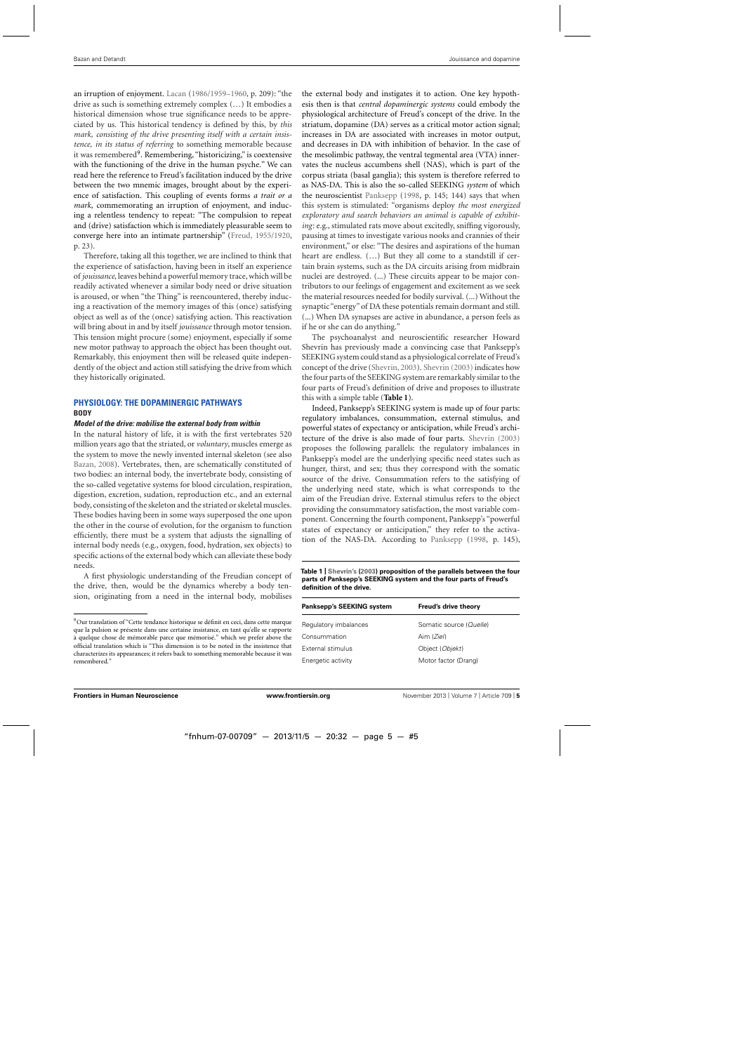an irruption of enjoyment. [Lacan](#page-11-0) [\(1986/1959–1960,](#page-11-0) p. 209): "the drive as such is something extremely complex (…) It embodies a historical dimension whose true significance needs to be appreciated by us. This historical tendency is defined by this, by *this mark, consisting of the drive presenting itself with a certain insistence, in its status of referring* to something memorable because it was remembered<sup>9</sup>. Remembering, "historicizing," is coextensive with the functioning of the drive in the human psyche." We can read here the reference to Freud's facilitation induced by the drive between the two mnemic images, brought about by the experience of satisfaction. This coupling of events forms *a trait or a mark*, commemorating an irruption of enjoyment, and inducing a relentless tendency to repeat: "The compulsion to repeat and (drive) satisfaction which is immediately pleasurable seem to converge here into an intimate partnership" [\(Freud](#page-11-0), [1955/1920](#page-11-0), p. 23).

Therefore, taking all this together, we are inclined to think that the experience of satisfaction, having been in itself an experience of *jouissance*, leaves behind a powerful memory trace, which will be readily activated whenever a similar body need or drive situation is aroused, or when "the Thing" is reencountered, thereby inducing a reactivation of the memory images of this (once) satisfying object as well as of the (once) satisfying action. This reactivation will bring about in and by itself *jouissance* through motor tension. This tension might procure (some) enjoyment, especially if some new motor pathway to approach the object has been thought out. Remarkably, this enjoyment then will be released quite independently of the object and action still satisfying the drive from which they historically originated.

# **PHYSIOLOGY: THE DOPAMINERGIC PATHWAYS BODY**

#### *Model of the drive: mobilise the external body from within*

In the natural history of life, it is with the first vertebrates 520 million years ago that the striated, or *voluntary*, muscles emerge as the system to move the newly invented internal skeleton (see also [Bazan](#page-10-0), [2008](#page-10-0)). Vertebrates, then, are schematically constituted of two bodies: an internal body, the invertebrate body, consisting of the so-called vegetative systems for blood circulation, respiration, digestion, excretion, sudation, reproduction etc., and an external body, consisting of the skeleton and the striated or skeletal muscles. These bodies having been in some ways superposed the one upon the other in the course of evolution, for the organism to function efficiently, there must be a system that adjusts the signalling of internal body needs (e.g., oxygen, food, hydration, sex objects) to specific actions of the external body which can alleviate these body needs.

A first physiologic understanding of the Freudian concept of the drive, then, would be the dynamics whereby a body tension, originating from a need in the internal body, mobilises the external body and instigates it to action. One key hypothesis then is that *central dopaminergic systems* could embody the physiological architecture of Freud's concept of the drive. In the striatum, dopamine (DA) serves as a critical motor action signal; increases in DA are associated with increases in motor output, and decreases in DA with inhibition of behavior. In the case of the mesolimbic pathway, the ventral tegmental area (VTA) innervates the nucleus accumbens shell (NAS), which is part of the corpus striata (basal ganglia); this system is therefore referred to as NAS-DA. This is also the so-called SEEKING *system* of which the neuroscientist [Panksepp](#page-11-0) [\(1998](#page-11-0), p. 145; 144) says that when this system is stimulated: "organisms deploy *the most energized exploratory and search behaviors an animal is capable of exhibiting*: e.g., stimulated rats move about excitedly, sniffing vigorously, pausing at times to investigate various nooks and crannies of their environment," or else: "The desires and aspirations of the human heart are endless. (…) But they all come to a standstill if certain brain systems, such as the DA circuits arising from midbrain nuclei are destroyed. (...) These circuits appear to be major contributors to our feelings of engagement and excitement as we seek the material resources needed for bodily survival. (...) Without the synaptic "energy" of DA these potentials remain dormant and still. (...) When DA synapses are active in abundance, a person feels as if he or she can do anything."

The psychoanalyst and neuroscientific researcher Howard Shevrin has previously made a convincing case that Panksepp's SEEKING system could stand as a physiological correlate of Freud's concept of the drive [\(Shevrin](#page-12-0), [2003](#page-12-0)). [Shevrin](#page-12-0) [\(2003\)](#page-12-0) indicates how the four parts of the SEEKING system are remarkably similar to the four parts of Freud's definition of drive and proposes to illustrate this with a simple table (**Table 1**).

Indeed, Panksepp's SEEKING system is made up of four parts: regulatory imbalances, consummation, external stimulus, and powerful states of expectancy or anticipation, while Freud's architecture of the drive is also made of four parts. [Shevrin](#page-12-0) [\(2003\)](#page-12-0) proposes the following parallels: the regulatory imbalances in Panksepp's model are the underlying specific need states such as hunger, thirst, and sex; thus they correspond with the somatic source of the drive. Consummation refers to the satisfying of the underlying need state, which is what corresponds to the aim of the Freudian drive. External stimulus refers to the object providing the consummatory satisfaction, the most variable component. Concerning the fourth component, Panksepp's "powerful states of expectancy or anticipation," they refer to the activation of the NAS-DA. According to [Panksepp](#page-11-0) [\(1998,](#page-11-0) p. 145),

**Table 1 | [Shevrin](#page-12-0)'s [\(2003\)](#page-12-0) proposition of the parallels between the four parts of Panksepp's SEEKING system and the four parts of Freud's definition of the drive.**

| Panksepp's SEEKING system | Freud's drive theory    |
|---------------------------|-------------------------|
| Regulatory imbalances     | Somatic source (Quelle) |
| Consummation              | Aim (Ziel)              |
| External stimulus         | Object (Objekt)         |
| Energetic activity        | Motor factor (Drang)    |

<sup>9</sup>Our translation of "Cette tendance historique se définit en ceci, dans cette marque que la pulsion se présente dans une certaine insistance, en tant qu'elle se rapporte à quelque chose de mémorable parce que mémorisé." which we prefer above the official translation which is "This dimension is to be noted in the insistence that characterizes its appearances; it refers back to something memorable because it was remembered."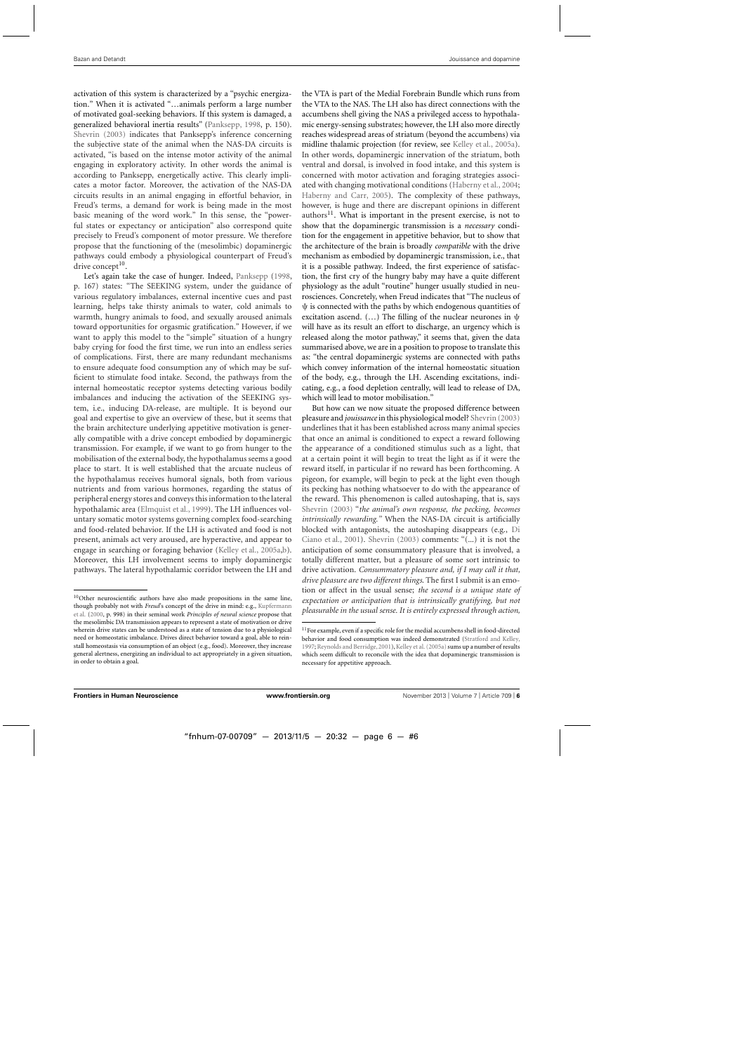activation of this system is characterized by a "psychic energization." When it is activated "…animals perform a large number of motivated goal-seeking behaviors. If this system is damaged, a generalized behavioral inertia results" [\(Panksepp](#page-11-0), [1998,](#page-11-0) p. 150). [Shevrin](#page-12-0) [\(2003\)](#page-12-0) indicates that Panksepp's inference concerning the subjective state of the animal when the NAS-DA circuits is activated, "is based on the intense motor activity of the animal engaging in exploratory activity. In other words the animal is according to Panksepp, energetically active. This clearly implicates a motor factor. Moreover, the activation of the NAS-DA circuits results in an animal engaging in effortful behavior, in Freud's terms, a demand for work is being made in the most basic meaning of the word work." In this sense, the "powerful states or expectancy or anticipation" also correspond quite precisely to Freud's component of motor pressure. We therefore propose that the functioning of the (mesolimbic) dopaminergic pathways could embody a physiological counterpart of Freud's drive concept $10$ .

Let's again take the case of hunger. Indeed, [Panksepp](#page-11-0) [\(1998](#page-11-0), p. 167) states: "The SEEKING system, under the guidance of various regulatory imbalances, external incentive cues and past learning, helps take thirsty animals to water, cold animals to warmth, hungry animals to food, and sexually aroused animals toward opportunities for orgasmic gratification." However, if we want to apply this model to the "simple" situation of a hungry baby crying for food the first time, we run into an endless series of complications. First, there are many redundant mechanisms to ensure adequate food consumption any of which may be sufficient to stimulate food intake. Second, the pathways from the internal homeostatic receptor systems detecting various bodily imbalances and inducing the activation of the SEEKING system, i.e., inducing DA-release, are multiple. It is beyond our goal and expertise to give an overview of these, but it seems that the brain architecture underlying appetitive motivation is generally compatible with a drive concept embodied by dopaminergic transmission. For example, if we want to go from hunger to the mobilisation of the external body, the hypothalamus seems a good place to start. It is well established that the arcuate nucleus of the hypothalamus receives humoral signals, both from various nutrients and from various hormones, regarding the status of peripheral energy stores and conveys this information to the lateral hypothalamic area [\(Elmquist et al., 1999](#page-11-0)). The LH influences voluntary somatic motor systems governing complex food-searching and food-related behavior. If the LH is activated and food is not present, animals act very aroused, are hyperactive, and appear to engage in searching or foraging behavior [\(Kelley et al.](#page-11-0), [2005a,b](#page-11-0)). Moreover, this LH involvement seems to imply dopaminergic pathways. The lateral hypothalamic corridor between the LH and the VTA is part of the Medial Forebrain Bundle which runs from the VTA to the NAS. The LH also has direct connections with the accumbens shell giving the NAS a privileged access to hypothalamic energy-sensing substrates; however, the LH also more directly reaches widespread areas of striatum (beyond the accumbens) via midline thalamic projection (for review, see [Kelley et al.](#page-11-0), [2005a](#page-11-0)). In other words, dopaminergic innervation of the striatum, both ventral and dorsal, is involved in food intake, and this system is concerned with motor activation and foraging strategies associated with changing motivational conditions [\(Haberny et al., 2004;](#page-11-0) [Haberny and Carr](#page-11-0), [2005\)](#page-11-0). The complexity of these pathways, however, is huge and there are discrepant opinions in different  $a$ uthors<sup>11</sup>. What is important in the present exercise, is not to show that the dopaminergic transmission is a *necessary* condition for the engagement in appetitive behavior, but to show that the architecture of the brain is broadly *compatible* with the drive mechanism as embodied by dopaminergic transmission, i.e., that it is a possible pathway. Indeed, the first experience of satisfaction, the first cry of the hungry baby may have a quite different physiology as the adult "routine" hunger usually studied in neurosciences. Concretely, when Freud indicates that "The nucleus of ψ is connected with the paths by which endogenous quantities of excitation ascend. (...) The filling of the nuclear neurones in  $\psi$ will have as its result an effort to discharge, an urgency which is released along the motor pathway," it seems that, given the data summarised above, we are in a position to propose to translate this as: "the central dopaminergic systems are connected with paths which convey information of the internal homeostatic situation of the body, e.g., through the LH. Ascending excitations, indicating, e.g., a food depletion centrally, will lead to release of DA, which will lead to motor mobilisation."

But how can we now situate the proposed difference between pleasure and *jouissance*in this physiological model? [Shevrin](#page-12-0) [\(2003\)](#page-12-0) underlines that it has been established across many animal species that once an animal is conditioned to expect a reward following the appearance of a conditioned stimulus such as a light, that at a certain point it will begin to treat the light as if it were the reward itself, in particular if no reward has been forthcoming. A pigeon, for example, will begin to peck at the light even though its pecking has nothing whatsoever to do with the appearance of the reward. This phenomenon is called autoshaping, that is, says [Shevrin](#page-12-0) [\(2003\)](#page-12-0) "*the animal's own response, the pecking, becomes intrinsically rewarding."* When the NAS-DA circuit is artificially blocked wi[th antagonists, the autoshaping disappears \(e.g.,](#page-11-0) Di Ciano et al., [2001\)](#page-11-0). [Shevrin](#page-12-0) [\(2003\)](#page-12-0) comments: "(...) it is not the anticipation of some consummatory pleasure that is involved, a totally different matter, but a pleasure of some sort intrinsic to drive activation. *Consummatory pleasure and, if I may call it that, drive pleasure are two different things*. The first I submit is an emotion or affect in the usual sense; *the second is a unique state of expectation or anticipation that is intrinsically gratifying, but not pleasurable in the usual sense. It is entirely expressed through action,*

<sup>&</sup>lt;sup>10</sup>Other neuroscientific authors have also made propositions in the same line, though probably not with *Freud*'s concept of the drive in mind: e.g., Kupfermann et al. [\(2000,](#page-11-0) p. 998) in their seminal work *Principles of neural science* propose that the mesolimbic DA transmission appears to represent a state of motivation or drive wherein drive states can be understood as a state of tension due to a physiological need or homeostatic imbalance. Drives direct behavior toward a goal, able to reinstall homeostasis via consumption of an object (e.g., food). Moreover, they increase general alertness, energizing an individual to act appropriately in a given situation, in order to obtain a goal.

<sup>&</sup>lt;sup>11</sup> For example, even if a specific role for the medial accumbens shell in food-directed behavior and food consumption was indeed demonstrated [\(Stratford and Kelley](#page-12-0), [1997;](#page-12-0) Reynolds and Berridge, 2001), [Kelley et al.](#page-11-0) [\(2005a](#page-11-0)) sums up a number of results which seem difficult to reconcile with the idea that dopaminergic transmission is necessary for appetitive approach.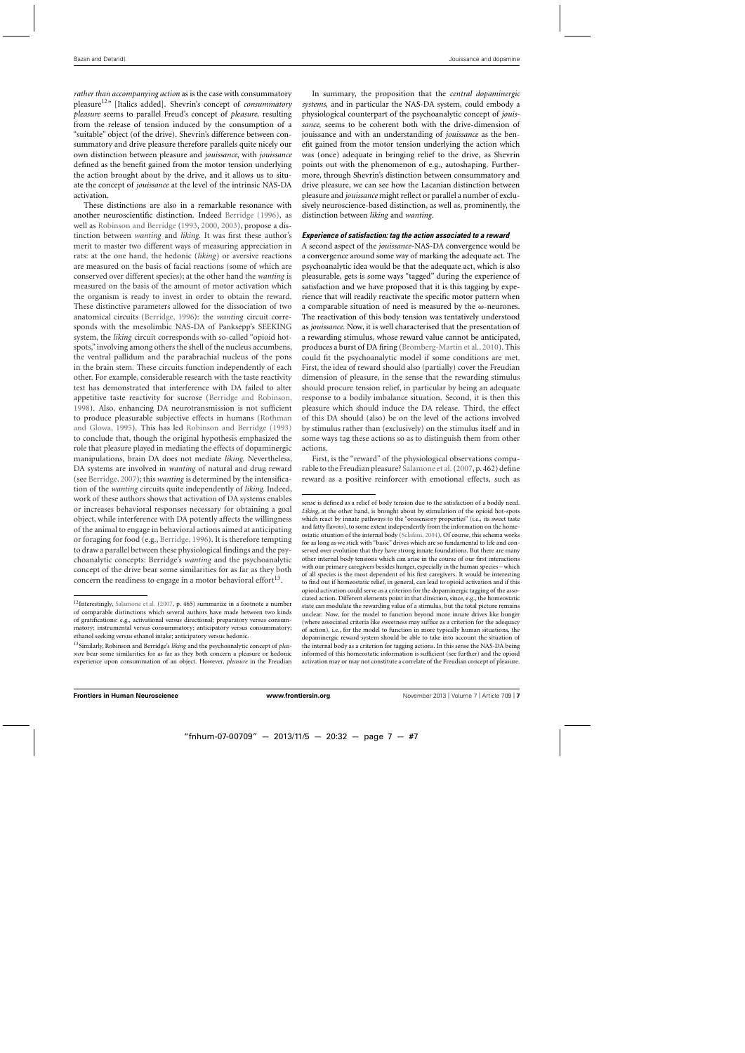*rather than accompanying action* as is the case with consummatory pleasure12" [Italics added]. Shevrin's concept of *consummatory pleasure* seems to parallel Freud's concept of *pleasure*, resulting from the release of tension induced by the consumption of a "suitable" object (of the drive). Shevrin's difference between consummatory and drive pleasure therefore parallels quite nicely our own distinction between pleasure and *jouissance*, with *jouissance* defined as the benefit gained from the motor tension underlying the action brought about by the drive, and it allows us to situate the concept of *jouissance* at the level of the intrinsic NAS-DA activation.

These distinctions are also in a remarkable resonance with another neuroscientific distinction. Indeed [Berridge](#page-10-0) [\(1996](#page-10-0)), as well as [Robinson and Berridge](#page-11-0) [\(1993](#page-11-0), [2000,](#page-11-0) [2003](#page-11-0)), propose a distinction between *wanting* and *liking*. It was first these author's merit to master two different ways of measuring appreciation in rats: at the one hand, the hedonic (*liking*) or aversive reactions are measured on the basis of facial reactions (some of which are conserved over different species); at the other hand the *wanting* is measured on the basis of the amount of motor activation which the organism is ready to invest in order to obtain the reward. These distinctive parameters allowed for the dissociation of two anatomical circuits [\(Berridge, 1996\)](#page-10-0): the *wanting* circuit corresponds with the mesolimbic NAS-DA of Panksepp's SEEKING system, the *liking* circuit corresponds with so-called "opioid hotspots," involving among others the shell of the nucleus accumbens, the ventral pallidum and the parabrachial nucleus of the pons in the brain stem. These circuits function independently of each other. For example, considerable research with the taste reactivity test has demonstrated that interference with DA failed to alter appetitive taste reactivity for sucrose [\(Berridge and Robinson](#page-10-0), [1998\)](#page-10-0). Also, enhancing DA neurotransmission is not sufficient to produc[e pleasurable subjective effects in humans \(](#page-11-0)Rothman and Glowa, [1995](#page-11-0)). This has led [Robinson and Berridge](#page-11-0) [\(1993\)](#page-11-0) to conclude that, though the original hypothesis emphasized the role that pleasure played in mediating the effects of dopaminergic manipulations, brain DA does not mediate *liking*. Nevertheless, DA systems are involved in *wanting* of natural and drug reward (see [Berridge, 2007](#page-10-0)); this *wanting* is determined by the intensification of the *wanting* circuits quite independently of *liking*. Indeed, work of these authors shows that activation of DA systems enables or increases behavioral responses necessary for obtaining a goal object, while interference with DA potently affects the willingness of the animal to engage in behavioral actions aimed at anticipating or foraging for food (e.g., [Berridge](#page-10-0), [1996\)](#page-10-0). It is therefore tempting to draw a parallel between these physiological findings and the psychoanalytic concepts: Berridge's *wanting* and the psychoanalytic concept of the drive bear some similarities for as far as they both concern the readiness to engage in a motor behavioral effort<sup>13</sup>.

In summary, the proposition that the *central dopaminergic systems*, and in particular the NAS-DA system, could embody a physiological counterpart of the psychoanalytic concept of *jouissance*, seems to be coherent both with the drive-dimension of jouissance and with an understanding of *jouissance* as the benefit gained from the motor tension underlying the action which was (once) adequate in bringing relief to the drive, as Shevrin points out with the phenomenon of e.g., autoshaping. Furthermore, through Shevrin's distinction between consummatory and drive pleasure, we can see how the Lacanian distinction between pleasure and *jouissance* might reflect or parallel a number of exclusively neuroscience-based distinction, as well as, prominently, the distinction between *liking* and *wanting*.

#### *Experience of satisfaction: tag the action associated to a reward*

A second aspect of the *jouissance*-NAS-DA convergence would be a convergence around some way of marking the adequate act. The psychoanalytic idea would be that the adequate act, which is also pleasurable, gets is some ways "tagged" during the experience of satisfaction and we have proposed that it is this tagging by experience that will readily reactivate the specific motor pattern when a comparable situation of need is measured by the ω-neurones. The reactivation of this body tension was tentatively understood as *jouissance*. Now, it is well characterised that the presentation of a rewarding stimulus, whose reward value cannot be anticipated, produces a burst of DA firing [\(Bromberg-Martin et al., 2010\)](#page-10-0). This could fit the psychoanalytic model if some conditions are met. First, the idea of reward should also (partially) cover the Freudian dimension of pleasure, in the sense that the rewarding stimulus should procure tension relief, in particular by being an adequate response to a bodily imbalance situation. Second, it is then this pleasure which should induce the DA release. Third, the effect of this DA should (also) be on the level of the actions involved by stimulus rather than (exclusively) on the stimulus itself and in some ways tag these actions so as to distinguish them from other actions.

First, is the "reward" of the physiological observations comparable to the Freudian pleasure? [Salamone et al.\(2007](#page-11-0), p. 462) define reward as a positive reinforcer with emotional effects, such as

<sup>&</sup>lt;sup>12</sup>Interestingly, [Salamone et al.](#page-11-0) [\(2007](#page-11-0), p. 465) summarize in a footnote a number of comparable distinctions which several authors have made between two kinds of gratifications: e.g., activational versus directional; preparatory versus consummatory; instrumental versus consummatory; anticipatory versus consummatory; ethanol seeking versus ethanol intake; anticipatory versus hedonic.

<sup>13</sup>Similarly, Robinson and Berridge's *liking* and the psychoanalytic concept of *pleasure* bear some similarities for as far as they both concern a pleasure or hedonic experience upon consummation of an object. However, *pleasure* in the Freudian

sense is defined as a relief of body tension due to the satisfaction of a bodily need. *Liking*, at the other hand, is brought about by stimulation of the opioid hot-spots which react by innate pathways to the "orosensory properties" (i.e., its sweet taste and fatty flavors), to some extent independently from the information on the homeostatic situation of the internal body [\(Sclafani, 2004](#page-12-0)). Of course, this schema works for as long as we stick with "basic" drives which are so fundamental to life and conserved over evolution that they have strong innate foundations. But there are many other internal body tensions which can arise in the course of our first interactions with our primary caregivers besides hunger, especially in the human species – which of all species is the most dependent of his first caregivers. It would be interesting to find out if homeostatic relief, in general, can lead to opioid activation and if this opioid activation could serve as a criterion for the dopaminergic tagging of the associated action. Different elements point in that direction, since, e.g., the homeostatic state can modulate the rewarding value of a stimulus, but the total picture remains unclear. Now, for the model to function beyond more innate drives like hunger (where associated criteria like sweetness may suffice as a criterion for the adequacy of action), i.e., for the model to function in more typically human situations, the dopaminergic reward system should be able to take into account the situation of the internal body as a criterion for tagging actions. In this sense the NAS-DA being informed of this homeostatic information is sufficient (see further) and the opioid activation may or may not constitute a correlate of the Freudian concept of pleasure.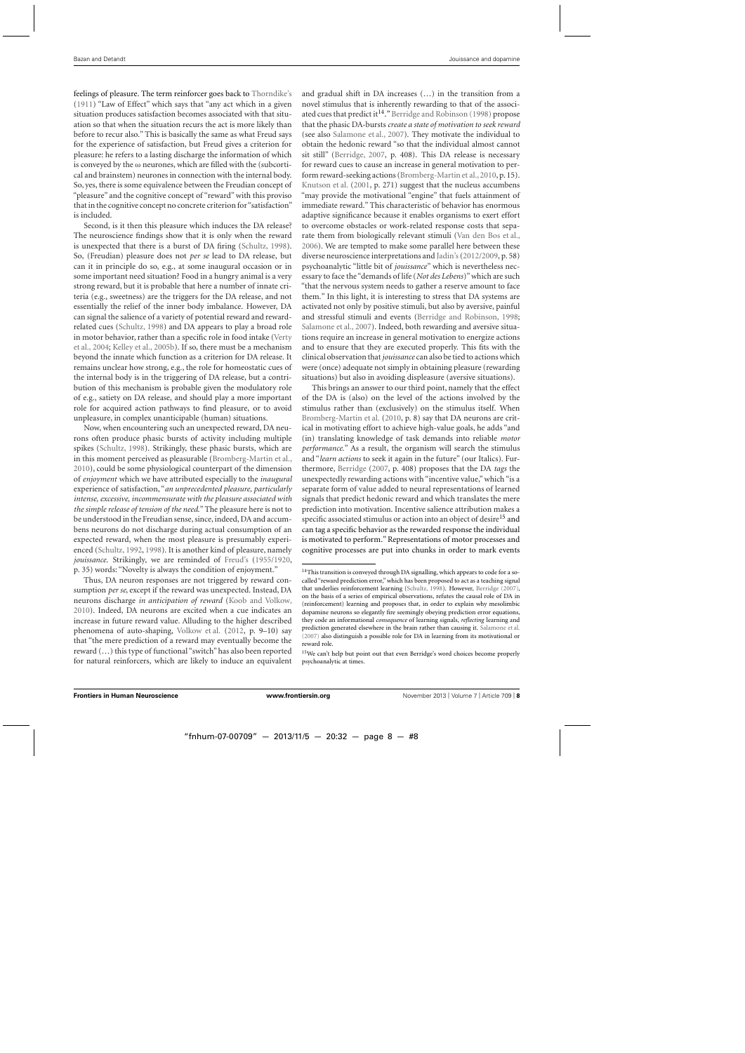feelings of pleasure. The term reinforcer goes back to [Thorndike'](#page-12-0)s [\(1911](#page-12-0)) "Law of Effect" which says that "any act which in a given situation produces satisfaction becomes associated with that situation so that when the situation recurs the act is more likely than before to recur also." This is basically the same as what Freud says for the experience of satisfaction, but Freud gives a criterion for pleasure: he refers to a lasting discharge the information of which is conveyed by the  $\omega$  neurones, which are filled with the (subcortical and brainstem) neurones in connection with the internal body. So, yes, there is some equivalence between the Freudian concept of "pleasure" and the cognitive concept of "reward" with this proviso that in the cognitive concept no concrete criterion for"satisfaction" is included.

Second, is it then this pleasure which induces the DA release? The neuroscience findings show that it is only when the reward is unexpected that there is a burst of DA firing [\(Schultz, 1998](#page-12-0)). So, (Freudian) pleasure does not *per se* lead to DA release, but can it in principle do so, e.g., at some inaugural occasion or in some important need situation? Food in a hungry animal is a very strong reward, but it is probable that here a number of innate criteria (e.g., sweetness) are the triggers for the DA release, and not essentially the relief of the inner body imbalance. However, DA can signal the salience of a variety of potential reward and rewardrelated cues [\(Schultz](#page-12-0), [1998\)](#page-12-0) and DA appears to play a broad role in m[otor](#page-12-0) [behavior,](#page-12-0) [rather](#page-12-0) [than](#page-12-0) [a](#page-12-0) [specific](#page-12-0) [role](#page-12-0) [in](#page-12-0) [food](#page-12-0) [intake](#page-12-0) [\(](#page-12-0)Verty et al., [2004](#page-12-0); [Kelley et al., 2005b](#page-11-0)). If so, there must be a mechanism beyond the innate which function as a criterion for DA release. It remains unclear how strong, e.g., the role for homeostatic cues of the internal body is in the triggering of DA release, but a contribution of this mechanism is probable given the modulatory role of e.g., satiety on DA release, and should play a more important role for acquired action pathways to find pleasure, or to avoid unpleasure, in complex unanticipable (human) situations.

Now, when encountering such an unexpected reward, DA neurons often produce phasic bursts of activity including multiple spikes [\(Schultz](#page-12-0), [1998\)](#page-12-0). Strikingly, these phasic bursts, which are in this moment perceived as pleasurable [\(Bromberg-Martin et al.](#page-10-0), [2010\)](#page-10-0), could be some physiological counterpart of the dimension of *enjoyment* which we have attributed especially to the *inaugural* experience of satisfaction, "*an unprecedented pleasure, particularly intense, excessive, incommensurate with the pleasure associated with the simple release of tension of the need*." The pleasure here is not to be understood in the Freudian sense, since, indeed, DA and accumbens neurons do not discharge during actual consumption of an expected reward, when the most pleasure is presumably experienced [\(Schultz, 1992,](#page-11-0) [1998\)](#page-12-0). It is another kind of pleasure, namely *jouissance*. Strikingly, we are reminded of [Freud'](#page-11-0)s [\(1955/1920](#page-11-0), p. 35) words: "Novelty is always the condition of enjoyment."

Thus, DA neuron responses are not triggered by reward consumption *per se*, except if the reward was unexpected. Instead, DA neurons discharge *in anticipation of reward* [\(Koob and Volkow](#page-11-0), [2010\)](#page-11-0). Indeed, DA neurons are excited when a cue indicates an increase in future reward value. Alluding to the higher described phenomena of auto-shaping, [Volkow et al.](#page-12-0) [\(2012,](#page-12-0) p. 9–10) say that "the mere prediction of a reward may eventually become the reward (…) this type of functional "switch" has also been reported for natural reinforcers, which are likely to induce an equivalent and gradual shift in DA increases (…) in the transition from a novel stimulus that is inherently rewarding to that of the associ-ated cues that predict it<sup>14</sup>." [Berridge and Robinson](#page-10-0) [\(1998](#page-10-0)) propose that the phasic DA-bursts *create a state of motivation to seek reward* (see also [Salamone et al., 2007\)](#page-11-0). They motivate the individual to obtain the hedonic reward "so that the individual almost cannot sit still" [\(Berridge](#page-10-0), [2007](#page-10-0), p. 408). This DA release is necessary for reward cues to cause an increase in general motivation to perform reward-seeking actions [\(Bromberg-Martin et al.,2010](#page-10-0), p. 15). [Knutson et al.](#page-11-0) [\(2001](#page-11-0), p. 271) suggest that the nucleus accumbens "may provide the motivational "engine" that fuels attainment of immediate reward." This characteristic of behavior has enormous adaptive significance because it enables organisms to exert effort to overcome obstacles or work-related response costs that separate them from biologically relevant stimuli [\(Van den Bos et al.](#page-12-0), [2006\)](#page-12-0). We are tempted to make some parallel here between these diverse neuroscience interpretations and [Jadin](#page-11-0)'s[\(2012/2009](#page-11-0), p. 58) psychoanalytic "little bit of *jouissance*" which is nevertheless necessary to face the "demands of life (*Not des Lebens*)"which are such "that the nervous system needs to gather a reserve amount to face them." In this light, it is interesting to stress that DA systems are activated not only by positive stimuli, but also by aversive, painful and stressful stimuli and events [\(Berridge and Robinson](#page-10-0), [1998;](#page-10-0) [Salamone et al., 2007](#page-11-0)). Indeed, both rewarding and aversive situations require an increase in general motivation to energize actions and to ensure that they are executed properly. This fits with the clinical observation that*jouissance* can also be tied to actions which were (once) adequate not simply in obtaining pleasure (rewarding situations) but also in avoiding displeasure (aversive situations).

This brings an answer to our third point, namely that the effect of the DA is (also) on the level of the actions involved by the stimulus rather than (exclusively) on the stimulus itself. When [Bromberg-Martin et al.](#page-10-0) [\(2010,](#page-10-0) p. 8) say that DA neurons are critical in motivating effort to achieve high-value goals, he adds "and (in) translating knowledge of task demands into reliable *motor performance.*" As a result, the organism will search the stimulus and "*learn actions* to seek it again in the future" (our Italics). Furthermore, [Berridge](#page-10-0) [\(2007,](#page-10-0) p. 408) proposes that the DA *tags* the unexpectedly rewarding actions with "incentive value," which "is a separate form of value added to neural representations of learned signals that predict hedonic reward and which translates the mere prediction into motivation. Incentive salience attribution makes a specific associated stimulus or action into an object of desire<sup>15</sup> and can tag a specific behavior as the rewarded response the individual is motivated to perform." Representations of motor processes and cognitive processes are put into chunks in order to mark events

<sup>&</sup>lt;sup>14</sup>This transition is conveyed through DA signalling, which appears to code for a socalled "reward prediction error," which has been proposed to act as a teaching signal that underlies reinforcement learning [\(Schultz](#page-12-0), [1998\)](#page-12-0). However, [Berridge](#page-10-0) [\(2007\)](#page-10-0), on the basis of a series of empirical observations, refutes the causal role of DA in (reinforcement) learning and proposes that, in order to explain why mesolimbic dopamine neurons so elegantly fire seemingly obeying prediction error equations, they code an informational *consequence* of learning signals, *reflecting* learning and prediction generated elsewhere in the brain rather than causing it. [Salamone et al.](#page-11-0) [\(2007\)](#page-11-0) also distinguish a possible role for DA in learning from its motivational or reward role.

<sup>&</sup>lt;sup>15</sup>We can't help but point out that even Berridge's word choices become properly psychoanalytic at times.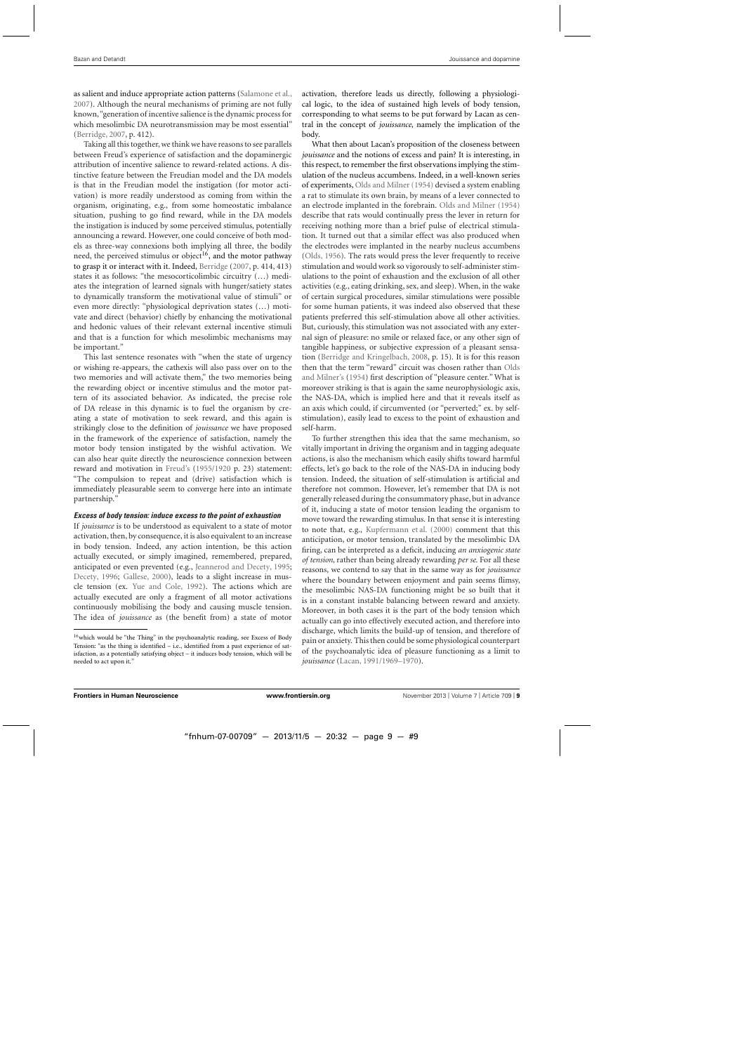as salient and induce appropriate action patterns [\(Salamone et al.](#page-11-0), [2007\)](#page-11-0). Although the neural mechanisms of priming are not fully known,"generation of incentive salience is the dynamic process for which mesolimbic DA neurotransmission may be most essential" [\(Berridge](#page-10-0), [2007,](#page-10-0) p. 412).

Taking all this together, we think we have reasons to see parallels between Freud's experience of satisfaction and the dopaminergic attribution of incentive salience to reward-related actions. A distinctive feature between the Freudian model and the DA models is that in the Freudian model the instigation (for motor activation) is more readily understood as coming from within the organism, originating, e.g., from some homeostatic imbalance situation, pushing to go find reward, while in the DA models the instigation is induced by some perceived stimulus, potentially announcing a reward. However, one could conceive of both models as three-way connexions both implying all three, the bodily need, the perceived stimulus or object<sup>16</sup>, and the motor pathway to grasp it or interact with it. Indeed, [Berridge](#page-10-0) [\(2007,](#page-10-0) p. 414, 413) states it as follows: "the mesocorticolimbic circuitry (…) mediates the integration of learned signals with hunger/satiety states to dynamically transform the motivational value of stimuli" or even more directly: "physiological deprivation states (…) motivate and direct (behavior) chiefly by enhancing the motivational and hedonic values of their relevant external incentive stimuli and that is a function for which mesolimbic mechanisms may be important."

This last sentence resonates with "when the state of urgency or wishing re-appears, the cathexis will also pass over on to the two memories and will activate them," the two memories being the rewarding object or incentive stimulus and the motor pattern of its associated behavior. As indicated, the precise role of DA release in this dynamic is to fuel the organism by creating a state of motivation to seek reward, and this again is strikingly close to the definition of *jouissance* we have proposed in the framework of the experience of satisfaction, namely the motor body tension instigated by the wishful activation. We can also hear quite directly the neuroscience connexion between reward and motivation in [Freud'](#page-11-0)s [\(1955/1920](#page-11-0) p. 23) statement: "The compulsion to repeat and (drive) satisfaction which is immediately pleasurable seem to converge here into an intimate partnership."

# *Excess of body tension: induce excess to the point of exhaustion*

If *jouissance* is to be understood as equivalent to a state of motor activation, then, by consequence, it is also equivalent to an increase in body tension. Indeed, any action intention, be this action actually executed, or simply imagined, remembered, prepared, anticipated or even prevented (e.g., [Jeannerod and Decety](#page-11-0), [1995;](#page-11-0) [Decety](#page-11-0), [1996](#page-11-0); [Gallese](#page-11-0), [2000](#page-11-0)), leads to a slight increase in muscle tension (ex. [Yue and Cole](#page-12-0), [1992](#page-12-0)). The actions which are actually executed are only a fragment of all motor activations continuously mobilising the body and causing muscle tension. The idea of *jouissance* as (the benefit from) a state of motor activation, therefore leads us directly, following a physiological logic, to the idea of sustained high levels of body tension, corresponding to what seems to be put forward by Lacan as central in the concept of *jouissance*, namely the implication of the body.

What then about Lacan's proposition of the closeness between *jouissance* and the notions of excess and pain? It is interesting, in this respect, to remember the first observations implying the stimulation of the nucleus accumbens. Indeed, in a well-known series of experiments, [Olds and Milner](#page-11-0) [\(1954\)](#page-11-0) devised a system enabling a rat to stimulate its own brain, by means of a lever connected to an electrode implanted in the forebrain. [Olds and Milner](#page-11-0) [\(1954\)](#page-11-0) describe that rats would continually press the lever in return for receiving nothing more than a brief pulse of electrical stimulation. It turned out that a similar effect was also produced when the electrodes were implanted in the nearby nucleus accumbens [\(Olds, 1956](#page-11-0)). The rats would press the lever frequently to receive stimulation and would work so vigorously to self-administer stimulations to the point of exhaustion and the exclusion of all other activities (e.g., eating drinking, sex, and sleep). When, in the wake of certain surgical procedures, similar stimulations were possible for some human patients, it was indeed also observed that these patients preferred this self-stimulation above all other activities. But, curiously, this stimulation was not associated with any external sign of pleasure: no smile or relaxed face, or any other sign of tangible happiness, or subjective expression of a pleasant sensation [\(Berridge and Kringelbach, 2008,](#page-10-0) p. 15). It is for this reason then that t[he term "reward" circuit was chosen rather than](#page-11-0) Olds and Milner's [\(1954](#page-11-0)) first description of "pleasure center." What is moreover striking is that is again the same neurophysiologic axis, the NAS-DA, which is implied here and that it reveals itself as an axis which could, if circumvented (or "perverted;" ex. by selfstimulation), easily lead to excess to the point of exhaustion and self-harm.

To further strengthen this idea that the same mechanism, so vitally important in driving the organism and in tagging adequate actions, is also the mechanism which easily shifts toward harmful effects, let's go back to the role of the NAS-DA in inducing body tension. Indeed, the situation of self-stimulation is artificial and therefore not common. However, let's remember that DA is not generally released during the consummatory phase, but in advance of it, inducing a state of motor tension leading the organism to move toward the rewarding stimulus. In that sense it is interesting to note that, e.g., [Kupfermann et al.](#page-11-0) [\(2000](#page-11-0)) comment that this anticipation, or motor tension, translated by the mesolimbic DA firing, can be interpreted as a deficit, inducing *an anxiogenic state of tension*, rather than being already rewarding *per se*. For all these reasons, we contend to say that in the same way as for *jouissance* where the boundary between enjoyment and pain seems flimsy, the mesolimbic NAS-DA functioning might be so built that it is in a constant instable balancing between reward and anxiety. Moreover, in both cases it is the part of the body tension which actually can go into effectively executed action, and therefore into discharge, which limits the build-up of tension, and therefore of pain or anxiety. This then could be some physiological counterpart of the psychoanalytic idea of pleasure functioning as a limit to *jouissance* [\(Lacan, 1991/1969–1970](#page-11-0)).

<sup>&</sup>lt;sup>16</sup>which would be "the Thing" in the psychoanalytic reading, see Excess of Body Tension: "as the thing is identified – i.e., identified from a past experience of satisfaction, as a potentially satisfying object – it induces body tension, which will be needed to act upon it."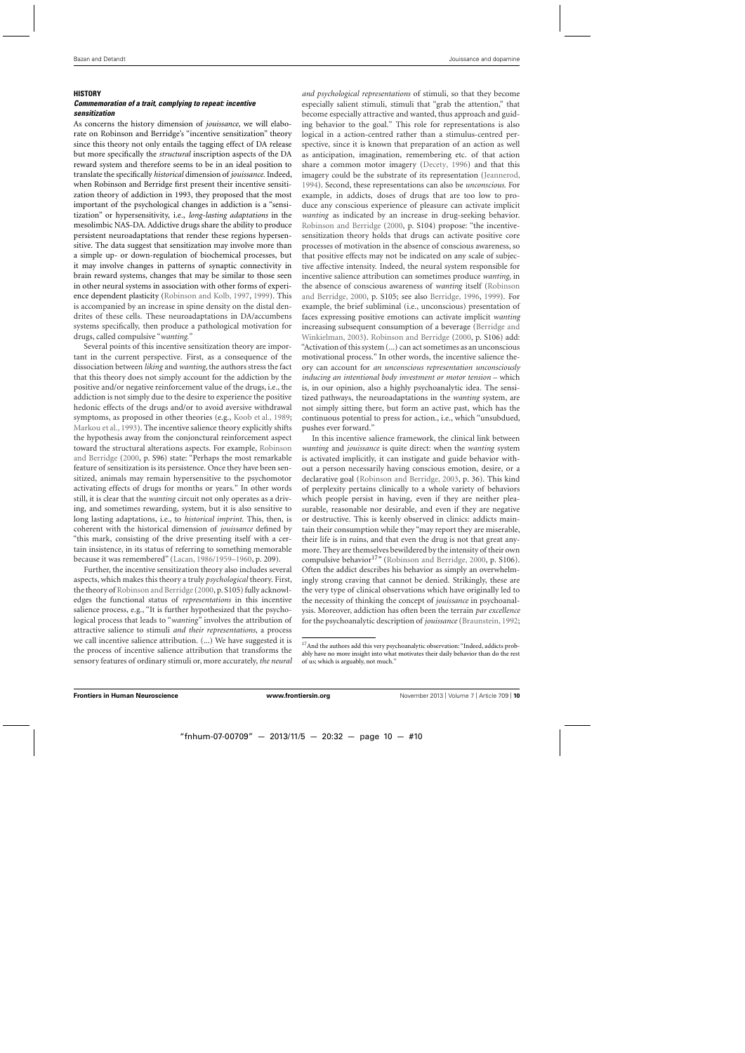# **HISTORY**

# *Commemoration of a trait, complying to repeat: incentive sensitization*

As concerns the history dimension of *jouissance*, we will elaborate on Robinson and Berridge's "incentive sensitization" theory since this theory not only entails the tagging effect of DA release but more specifically the *structural* inscription aspects of the DA reward system and therefore seems to be in an ideal position to translate the specifically *historical* dimension of *jouissance.* Indeed, when Robinson and Berridge first present their incentive sensitization theory of addiction in 1993, they proposed that the most important of the psychological changes in addiction is a "sensitization" or hypersensitivity, i.e*.*, *long-lasting adaptations* in the mesolimbic NAS-DA. Addictive drugs share the ability to produce persistent neuroadaptations that render these regions hypersensitive. The data suggest that sensitization may involve more than a simple up- or down-regulation of biochemical processes, but it may involve changes in patterns of synaptic connectivity in brain reward systems, changes that may be similar to those seen in other neural systems in association with other forms of experience dependent plasticity [\(Robinson and Kolb, 1997](#page-11-0), [1999\)](#page-11-0). This is accompanied by an increase in spine density on the distal dendrites of these cells. These neuroadaptations in DA/accumbens systems specifically, then produce a pathological motivation for drugs, called compulsive "*wanting.*"

Several points of this incentive sensitization theory are important in the current perspective. First, as a consequence of the dissociation between *liking* and *wanting*, the authors stress the fact that this theory does not simply account for the addiction by the positive and/or negative reinforcement value of the drugs, i.e., the addiction is not simply due to the desire to experience the positive hedonic effects of the drugs and/or to avoid aversive withdrawal symptoms, as proposed in other theories (e.g., [Koob et al., 1989;](#page-11-0) [Markou et al.](#page-11-0), [1993](#page-11-0)). The incentive salience theory explicitly shifts the hypothesis away from the conjonctural reinforcement aspect toward the s[tructural alterations aspects. For example,](#page-11-0) Robinson and Berridge [\(2000](#page-11-0), p. S96) state: "Perhaps the most remarkable feature of sensitization is its persistence. Once they have been sensitized, animals may remain hypersensitive to the psychomotor activating effects of drugs for months or years." In other words still, it is clear that the *wanting* circuit not only operates as a driving, and sometimes rewarding, system, but it is also sensitive to long lasting adaptations, i.e., to *historical imprint*. This, then, is coherent with the historical dimension of *jouissance* defined by "this mark, consisting of the drive presenting itself with a certain insistence, in its status of referring to something memorable because it was remembered" [\(Lacan](#page-11-0), [1986/1959–1960,](#page-11-0) p. 209).

Further, the incentive sensitization theory also includes several aspects, which makes this theory a truly *psychological* theory. First, the theory of [Robinson and Berridge](#page-11-0) [\(2000,](#page-11-0) p. S105) fully acknowledges the functional status of *representations* in this incentive salience process, e.g., "It is further hypothesized that the psychological process that leads to "*wanting*" involves the attribution of attractive salience to stimuli *and their representations*, a process we call incentive salience attribution. (...) We have suggested it is the process of incentive salience attribution that transforms the sensory features of ordinary stimuli or, more accurately, *the neural* *and psychological representations* of stimuli, so that they become especially salient stimuli, stimuli that "grab the attention," that become especially attractive and wanted, thus approach and guiding behavior to the goal." This role for representations is also logical in a action-centred rather than a stimulus-centred perspective, since it is known that preparation of an action as well as anticipation, imagination, remembering etc. of that action share a common motor imagery [\(Decety, 1996\)](#page-11-0) and that this imagery could be the substrate of its representation [\(Jeannerod](#page-11-0), [1994\)](#page-11-0). Second, these representations can also be *unconscious*. For example, in addicts, doses of drugs that are too low to produce any conscious experience of pleasure can activate implicit *wanting* as indicated by an increase in drug-seeking behavior. [Robinson and Berridge](#page-11-0) [\(2000,](#page-11-0) p. S104) propose: "the incentivesensitization theory holds that drugs can activate positive core processes of motivation in the absence of conscious awareness, so that positive effects may not be indicated on any scale of subjective affective intensity. Indeed, the neural system responsible for incentive salience attribution can sometimes produce *wanting*, in the absence [of conscious awareness of](#page-11-0) *wanting* itself (Robinson and Berridge, [2000,](#page-11-0) p. S105; see also [Berridge](#page-10-0), [1996](#page-10-0), [1999\)](#page-10-0). For example, the brief subliminal (i.e., unconscious) presentation of faces expressing positive emotions can activate implicit *wanting* increasing s[ubsequent consumption of a beverage \(](#page-10-0)Berridge and Winkielman, [2003\)](#page-10-0). [Robinson and Berridge](#page-11-0) [\(2000,](#page-11-0) p. S106) add: "Activation of this system (...) can act sometimes as an unconscious motivational process." In other words, the incentive salience theory can account for *an unconscious representation unconsciously inducing an intentional body investment or motor tension* – which is, in our opinion, also a highly psychoanalytic idea*.* The sensitized pathways, the neuroadaptations in the *wanting* system, are not simply sitting there, but form an active past, which has the continuous potential to press for action., i.e., which "unsubdued, pushes ever forward."

In this incentive salience framework, the clinical link between *wanting* and *jouissance* is quite direct: when the *wanting* system is activated implicitly, it can instigate and guide behavior without a person necessarily having conscious emotion, desire, or a declarative goal [\(Robinson and Berridge, 2003](#page-11-0), p. 36). This kind of perplexity pertains clinically to a whole variety of behaviors which people persist in having, even if they are neither pleasurable, reasonable nor desirable, and even if they are negative or destructive. This is keenly observed in clinics: addicts maintain their consumption while they "may report they are miserable, their life is in ruins, and that even the drug is not that great anymore. They are themselves bewildered by the intensity of their own compulsive behavior<sup>17</sup>" [\(Robinson and Berridge](#page-11-0), [2000](#page-11-0), p. S106). Often the addict describes his behavior as simply an overwhelmingly strong craving that cannot be denied. Strikingly, these are the very type of clinical observations which have originally led to the necessity of thinking the concept of *jouissance* in psychoanalysis. Moreover, addiction has often been the terrain *par excellence* for the psychoanalytic description of *jouissance* [\(Braunstein, 1992;](#page-10-0)

<sup>&</sup>lt;sup>17</sup> And the authors add this very psychoanalytic observation: "Indeed, addicts probably have no more insight into what motivates their daily behavior than do the rest of us; which is arguably, not much."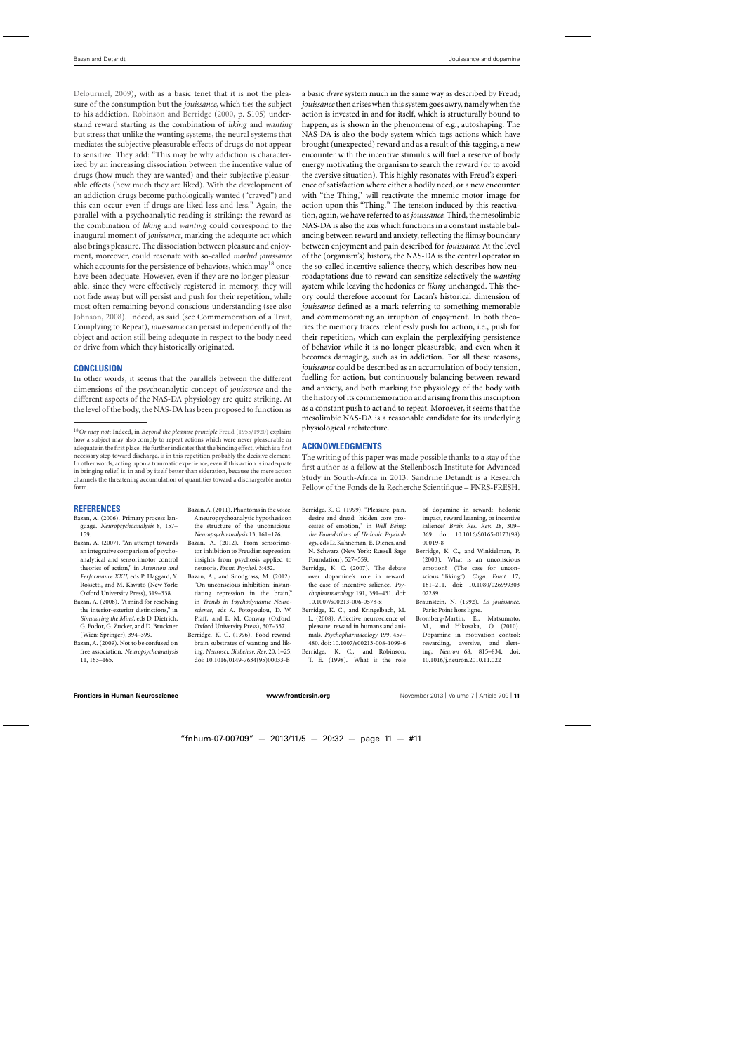<span id="page-10-0"></span>[Delourmel](#page-11-0), [2009](#page-11-0)), with as a basic tenet that it is not the pleasure of the consumption but the *jouissance*, which ties the subject to his addiction. [Robinson and Berridge](#page-11-0) [\(2000](#page-11-0), p. S105) understand reward starting as the combination of *liking* and *wanting* but stress that unlike the wanting systems, the neural systems that mediates the subjective pleasurable effects of drugs do not appear to sensitize. They add: "This may be why addiction is characterized by an increasing dissociation between the incentive value of drugs (how much they are wanted) and their subjective pleasurable effects (how much they are liked). With the development of an addiction drugs become pathologically wanted ("craved") and this can occur even if drugs are liked less and less." Again, the parallel with a psychoanalytic reading is striking: the reward as the combination of *liking* and *wanting* could correspond to the inaugural moment of *jouissance*, marking the adequate act which also brings pleasure. The dissociation between pleasure and enjoyment, moreover, could resonate with so-called *morbid jouissance* which accounts for the persistence of behaviors, which may<sup>18</sup> once have been adequate. However, even if they are no longer pleasurable, since they were effectively registered in memory, they will not fade away but will persist and push for their repetition, while most often remaining beyond conscious understanding (see also [Johnson, 2008\)](#page-11-0). Indeed, as said (see Commemoration of a Trait, Complying to Repeat), *jouissance* can persist independently of the object and action still being adequate in respect to the body need or drive from which they historically originated.

# **CONCLUSION**

In other words, it seems that the parallels between the different dimensions of the psychoanalytic concept of *jouissance* and the different aspects of the NAS-DA physiology are quite striking. At the level of the body, the NAS-DA has been proposed to function as

#### **REFERENCES**

- Bazan, A. (2006). Primary process language. *Neuropsychoanalysis* 8, 157– 159.
- Bazan, A. (2007). "An attempt towards an integrative comparison of psychoanalytical and sensorimotor control theories of action," in *Attention and Performance XXII*, eds P. Haggard, Y. Rossetti, and M. Kawato (New York: Oxford University Press), 319–338.
- Bazan, A. (2008). "A mind for resolving the interior-exterior distinctions," in *Simulating the Mind,* eds D. Dietrich, G. Fodor, G. Zucker, and D. Bruckner (Wien: Springer), 394–399.
- Bazan, A. (2009). Not to be confused on free association. *Neuropsychoanalysis* 11, 163–165.
- Bazan,A. (2011). Phantoms in the voice. A neuropsychoanalytic hypothesis on the structure of the unconscious*.*
- *Neuropsychoanalysis* 13, 161–176. Bazan, A. (2012). From sensorimotor inhibition to Freudian repression: insights from psychosis applied to neuroris. *Front. Psychol.* 3:452.
- Bazan, A., and Snodgrass, M. (2012). "On unconscious inhibition: instantiating repression in the brain," in *Trends in Psychodynamic Neuroscience*, eds A. Fotopoulou, D. W. Pfaff, and E. M. Conway (Oxford: Oxford University Press), 307–337.
- Berridge, K. C. (1996). Food reward: brain substrates of wanting and liking. *Neurosci. Biobehav. Rev.* 20, 1–25. doi: 10.1016/0149-7634(95)00033-B

a basic *drive* system much in the same way as described by Freud; *jouissance*then arises when this system goes awry, namely when the action is invested in and for itself, which is structurally bound to happen, as is shown in the phenomena of e.g., autoshaping. The NAS-DA is also the body system which tags actions which have brought (unexpected) reward and as a result of this tagging, a new encounter with the incentive stimulus will fuel a reserve of body energy motivating the organism to search the reward (or to avoid the aversive situation). This highly resonates with Freud's experience of satisfaction where either a bodily need, or a new encounter with "the Thing," will reactivate the mnemic motor image for action upon this "Thing." The tension induced by this reactivation, again, we have referred to as*jouissance*. Third, the mesolimbic NAS-DA is also the axis which functions in a constant instable balancing between reward and anxiety, reflecting the flimsy boundary between enjoyment and pain described for *jouissance*. At the level of the (organism's) history, the NAS-DA is the central operator in the so-called incentive salience theory, which describes how neuroadaptations due to reward can sensitize selectively the *wanting* system while leaving the hedonics or *liking* unchanged. This theory could therefore account for Lacan's historical dimension of *jouissance* defined as a mark referring to something memorable and commemorating an irruption of enjoyment. In both theories the memory traces relentlessly push for action, i.e., push for their repetition, which can explain the perplexifying persistence of behavior while it is no longer pleasurable, and even when it becomes damaging, such as in addiction. For all these reasons, *jouissance* could be described as an accumulation of body tension, fuelling for action, but continuously balancing between reward and anxiety, and both marking the physiology of the body with the history of its commemoration and arising from this inscription as a constant push to act and to repeat. Moroever, it seems that the mesolimbic NAS-DA is a reasonable candidate for its underlying physiological architecture.

# **ACKNOWLEDGMENTS**

The writing of this paper was made possible thanks to a stay of the first author as a fellow at the Stellenbosch Institute for Advanced Study in South-Africa in 2013. Sandrine Detandt is a Research Fellow of the Fonds de la Recherche Scientifique – FNRS-FRESH.

- Berridge, K. C. (1999). "Pleasure, pain, desire and dread: hidden core processes of emotion," in *Well Being: the Foundations of Hedonic Psychology*, eds D. Kahneman, E. Diener, and N. Schwarz (New York: Russell Sage Foundation), 527–559.
- Berridge, K. C. (2007). The debate over dopamine's role in reward: the case of incentive salience. *Psychopharmacology* 191, 391–431. doi: 10.1007/s00213-006-0578-x
- Berridge, K. C., and Kringelbach, M. L. (2008). Affective neuroscience of pleasure: reward in humans and animals. *Psychopharmacology* 199, 457– 480. doi: 10.1007/s00213-008-1099-6 Berridge, K. C., and Robinson,
- T. E. (1998). What is the role

of dopamine in reward: hedonic impact, reward learning, or incentive salience? *Brain Res. Rev.* 28, 309– 369. doi: 10.1016/S0165-0173(98) 00019-8

- Berridge, K. C., and Winkielman, P. (2003). What is an unconscious emotion? (The case for unconscious "liking"). *Cogn. Emot.* 17, 181–211. doi: 10.1080/026999303 02289
- Braunstein, N. (1992). *La jouissance*. Paris: Point hors ligne.
- Bromberg-Martin, E., Matsumoto, M., and Hikosaka, O. (2010). Dopamine in motivation control: rewarding, aversive, and alerting, *Neuron* 68, 815–834. doi: 10.1016/j.neuron.2010.11.022

<sup>18</sup>*Or may not*: Indeed, in *Beyond the pleasure principle* [Freud](#page-11-0) [\(1955/1920\)](#page-11-0) explains how a subject may also comply to repeat actions which were never pleasurable or adequate in the first place. He further indicates that the binding effect, which is a first necessary step toward discharge, is in this repetition probably the decisive element. In other words, acting upon a traumatic experience, even if this action is inadequate in bringing relief, is, in and by itself better than sideration, because the mere action channels the threatening accumulation of quantities toward a dischargeable motor form.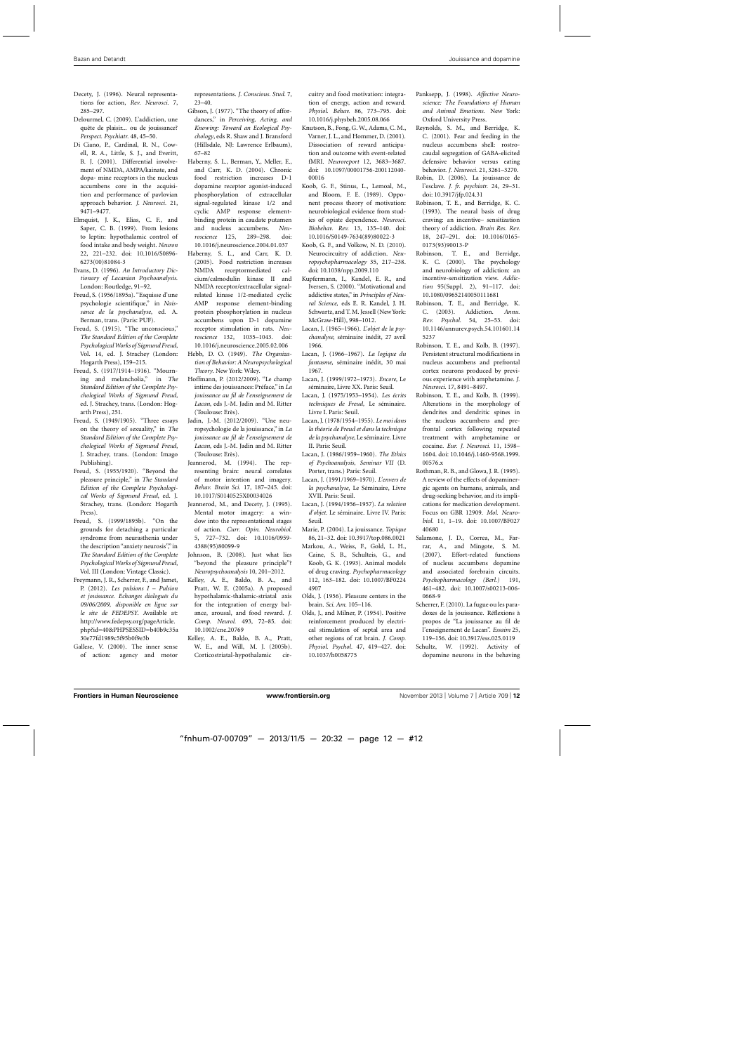- <span id="page-11-0"></span>Decety, J. (1996). Neural representations for action, *Rev. Neurosci.* 7, 285–297.
- Delourmel, C. (2009). L'addiction, une quête de plaisir... ou de jouissance? *Perspect. Psychiatr.* 48, 45–50.
- Di Ciano, P., Cardinal, R. N., Cowell, R. A., Little, S. J., and Everitt, B. J. (2001). Differential involvement of NMDA, AMPA/kainate, and dopa- mine receptors in the nucleus accumbens core in the acquisition and performance of pavlovian approach behavior. *J. Neurosci.* 21, 9471–9477.
- Elmquist, J. K., Elias, C. F., and Saper, C. B. (1999). From lesions to leptin: hypothalamic control of food intake and body weight. *Neuron* 22, 221–232. doi: 10.1016/S0896- 6273(00)81084-3
- Evans, D. (1996). *An Introductory Dictionary of Lacanian Psychoanalysis*. London: Routledge, 91–92.
- Freud, S. (1956/1895a). "Esquisse d'une psychologie scientifique," in *Naissance de la psychanalyse*, ed. A. Berman, trans. (Paris: PUF).
- Freud, S. (1915). "The unconscious," *The Standard Edition of the Complete PsychologicalWorks of Sigmund Freud*, Vol. 14, ed. J. Strachey (London: Hogarth Press), 159–215.
- Freud, S. (1917/1914–1916). "Mourning and melancholia," in *The Standard Edition of the Complete Psychological Works of Sigmund Freud,* ed. J. Strachey, trans. (London: Hogarth Press), 251.
- Freud, S. (1949/1905). "Three essays on the theory of sexuality," in *The Standard Edition of the Complete Psychological Works of Sigmund Freud*, J. Strachey, trans. (London: Imago Publishing).
- Freud, S. (1955/1920). "Beyond the pleasure principle," in *The Standard Edition of the Complete Psychological Works of Sigmund Freud*, ed. J. Strachey, trans. (London: Hogarth Press).
- Freud, S. (1999/1895b). "On the grounds for detaching a particular syndrome from neurasthenia under the description "anxiety neurosis"," in *The Standard Edition of the Complete PsychologicalWorks of Sigmund Freud*, Vol. III (London: Vintage Classic).
- Freymann, J. R., Scherrer, F., and Jamet, P. (2012). *Les pulsions I – Pulsion et jouissance. Echanges dialogués du 09/06/2009, disponible en ligne sur le site de FEDEPSY*. Available at: http://www.fedepsy.org/pageArticle. php?id=40&PHPSESSID=b40b9c35a 30e77fd1989c5f95b0f9e3b
- Gallese, V. (2000). The inner sense of action: agency and motor

representations. *J. Conscious. Stud.* 7, 23–40.

- Gibson, J. (1977). "The theory of affordances," in *Perceiving, Acting, and Knowing: Toward an Ecological Psychology*, eds R. Shaw and J. Bransford (Hillsdale, NJ: Lawrence Erlbaum), 67–82
- Haberny, S. L., Berman, Y., Meller, E., and Carr, K. D. (2004). Chronic food restriction increases D-1 dopamine receptor agonist-induced phosphorylation of extracellular signal-regulated kinase 1/2 and cyclic AMP response elementbinding protein in caudate putamen and nucleus accumbens. *Neuroscience* 125, 289–298. doi: 10.1016/j.neuroscience.2004.01.037
- Haberny, S. L., and Carr, K. D. (2005). Food restriction increases<br>NMDA receptormediated calreceptormediated calcium/calmodulin kinase II and NMDA receptor/extracellular signalrelated kinase 1/2-mediated cyclic AMP response element-binding protein phosphorylation in nucleus accumbens upon D-1 dopamine receptor stimulation in rats. *Neuroscience* 132, 1035–1043. doi: 10.1016/j.neuroscience.2005.02.006
- Hebb, D. O. (1949). *The Organization of Behavior: A Neuropsychological Theory*. New York: Wiley.
- Hoffmann, P. (2012/2009). "Le champ intime des jouissances: Préface," in *La jouissance au fil de l'enseignement de Lacan*, eds J.-M. Jadin and M. Ritter (Toulouse: Erès).
- Jadin, J.-M. (2012/2009). "Une neuropsychologie de la jouissance," in *La jouissance au fil de l'enseignement de Lacan*, eds J.-M. Jadin and M. Ritter (Toulouse: Erès).
- Jeannerod, M. (1994). The representing brain: neural correlates of motor intention and imagery. *Behav. Brain Sci.* 17, 187–245. doi: 10.1017/S0140525X00034026
- Jeannerod, M., and Decety, J. (1995). Mental motor imagery: a window into the representational stages of action. *Curr. Opin. Neurobiol.* 5, 727–732. doi: 10.1016/0959- 4388(95)80099-9
- Johnson, B. (2008). Just what lies "beyond the pleasure principle"? *Neuropsychoanalysis* 10, 201–2012.
- Kelley, A. E., Baldo, B. A., and Pratt, W. E. (2005a). A proposed hypothalamic-thalamic-striatal axis for the integration of energy balance, arousal, and food reward. *J. Comp. Neurol.* 493, 72–85. doi: 10.1002/cne.20769
- Kelley, A. E., Baldo, B. A., Pratt, W. E., and Will, M. J. (2005b). Corticostriatal-hypothalamic cir-

cuitry and food motivation: integration of energy, action and reward. *Physiol. Behav.* 86, 773–795. doi: 10.1016/j.physbeh.2005.08.066

- Knutson, B., Fong, G. W., Adams, C. M., Varner, J. L., and Hommer, D. (2001). Dissociation of reward anticipation and outcome with event-related fMRI. *Neuroreport* 12, 3683–3687. doi: 10.1097/00001756-200112040- 00016
- Koob, G. F., Stinus, L., Lemoal, M., and Bloom, F. E. (1989). Opponent process theory of motivation: neurobiological evidence from studies of opiate dependence. *Neurosci. Biobehav. Rev.* 13, 135–140. doi: 10.1016/S0149-7634(89)80022-3
- Koob, G. F., and Volkow, N. D. (2010). Neurocircuitry of addiction. *Neuropsychopharmacology* 35, 217–238. doi: 10.1038/npp.2009.110
- Kupfermann, I., Kandel, E. R., and Iversen, S. (2000). "Motivational and addictive states," in *Principles of Neural Science,* eds E. R. Kandel, J. H. Schwartz, and T. M. Jessell (New York: McGraw-Hill), 998–1012.
- Lacan, J. (1965–1966). *L'objet de la psychanalyse*, séminaire inédit, 27 avril 1966.
- Lacan, J. (1966–1967). *La logique du fantasme*, séminaire inédit, 30 mai 1967.
- Lacan, J. (1999/1972–1973). *Encore*, Le séminaire, Livre XX. Paris: Seuil.
- Lacan, J. (1975/1953–1954). *Les écrits techniques de Freud,* Le séminaire. Livre I. Paris: Seuil.
- Lacan, J. (1978/1954–1955). *Le moi dans la théorie de Freud et dans la technique de la psychanalyse*, Le séminaire. Livre II. Paris: Seuil.
- Lacan, J. (1986/1959–1960). *The Ethics of Psychoanalysis*, *Seminar VII* (D. Porter, trans.) Paris: Seuil.
- Lacan, J. (1991/1969–1970). *L'envers de la psychanalyse*, Le Séminaire, Livre XVII. Paris: Seuil.
- Lacan, J. (1994/1956–1957). *La relation d'objet*. Le séminaire. Livre IV. Paris: Seuil.
- Marie, P. (2004). La jouissance. *Topique* 86, 21–32. doi: 10.3917/top.086.0021
- Markou, A., Weiss, F., Gold, L. H., Caine, S. B., Schulteis, G., and Koob, G. K. (1993). Animal models of drug craving. *Psychopharmacology* 112, 163–182. doi: 10.1007/BF0224 4907
- Olds, J. (1956). Pleasure centers in the brain. *Sci. Am.* 105–116.
- Olds, J., and Milner, P. (1954). Positive reinforcement produced by electrical stimulation of septal area and other regions of rat brain. *J. Comp. Physiol. Psychol.* 47, 419–427. doi: 10.1037/h0058775
- Panksepp, J. (1998). *Affective Neuroscience: The Foundations of Human and Animal Emotions*. New York: Oxford University Press.
- Reynolds, S. M., and Berridge, K. C. (2001). Fear and feeding in the nucleus accumbens shell: rostrocaudal segregation of GABA-elicited defensive behavior versus eating behavior. *J. Neurosci.* 21, 3261–3270.
- Robin, D. (2006). La jouissance de l'esclave. *J. fr. psychiatr.* 24, 29–31. doi: 10.3917/jfp.024.31
- Robinson, T. E., and Berridge, K. C. (1993). The neural basis of drug craving: an incentive– sensitization theory of addiction. *Brain Res. Rev.* 18, 247–291. doi: 10.1016/0165- 0173(93)90013-P
- Robinson, T. E., and Berridge, K. C. (2000). The psychology and neurobiology of addiction: an incentive-sensitization view. *Addiction* 95(Suppl. 2), 91–117. doi: 10.1080/09652140050111681
- Robinson, T. E., and Berridge, K. C. (2003). Addiction. *Annu. Rev. Psychol.* 54, 25–53. doi: 10.1146/annurev.psych.54.101601.14 5237
- Robinson, T. E., and Kolb, B. (1997). Persistent structural modifications in nucleus accumbens and prefrontal cortex neurons produced by previous experience with amphetamine. *J. Neurosci.* 17, 8491–8497.
- Robinson, T. E., and Kolb, B. (1999). Alterations in the morphology of dendrites and dendritic spines in the nucleus accumbens and prefrontal cortex following repeated treatment with amphetamine or cocaine. *Eur. J. Neurosci.* 11, 1598– 1604. doi: 10.1046/j.1460-9568.1999. 00576.x
- Rothman, R. B., and Glowa, J. R. (1995). A review of the effects of dopaminergic agents on humans, animals, and drug-seeking behavior, and its implications for medication development. Focus on GBR 12909. *Mol. Neurobiol.* 11, 1–19. doi: 10.1007/BF027 40680
- Salamone, J. D., Correa, M., Farrar, A., and Mingote, S. M. (2007). Effort-related functions of nucleus accumbens dopamine and associated forebrain circuits. *Psychopharmacology (Berl.)* 191, 461–482. doi: 10.1007/s00213-006- 0668-9
- Scherrer, F. (2010). La fugue ou les paradoxes de la jouissance. Réflexions à propos de "La jouissance au fil de l'enseignement de Lacan". *Essaim* 25, 119–156. doi: 10.3917/ess.025.0119
- Schultz, W. (1992). Activity of dopamine neurons in the behaving